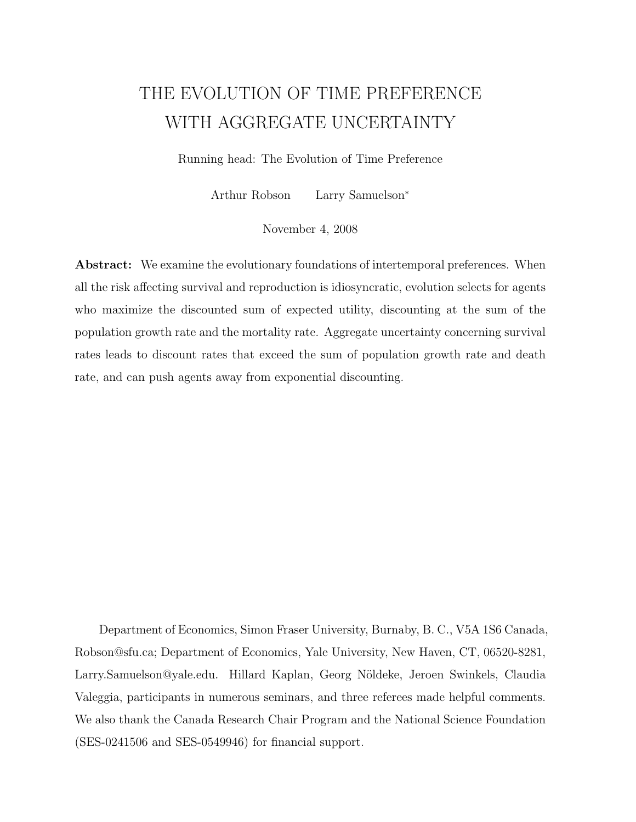# THE EVOLUTION OF TIME PREFERENCE WITH AGGREGATE UNCERTAINTY

Running head: The Evolution of Time Preference

Arthur Robson Larry Samuelson<sup>∗</sup>

November 4, 2008

Abstract: We examine the evolutionary foundations of intertemporal preferences. When all the risk affecting survival and reproduction is idiosyncratic, evolution selects for agents who maximize the discounted sum of expected utility, discounting at the sum of the population growth rate and the mortality rate. Aggregate uncertainty concerning survival rates leads to discount rates that exceed the sum of population growth rate and death rate, and can push agents away from exponential discounting.

Department of Economics, Simon Fraser University, Burnaby, B. C., V5A 1S6 Canada, Robson@sfu.ca; Department of Economics, Yale University, New Haven, CT, 06520-8281, Larry.Samuelson@yale.edu. Hillard Kaplan, Georg Nöldeke, Jeroen Swinkels, Claudia Valeggia, participants in numerous seminars, and three referees made helpful comments. We also thank the Canada Research Chair Program and the National Science Foundation (SES-0241506 and SES-0549946) for financial support.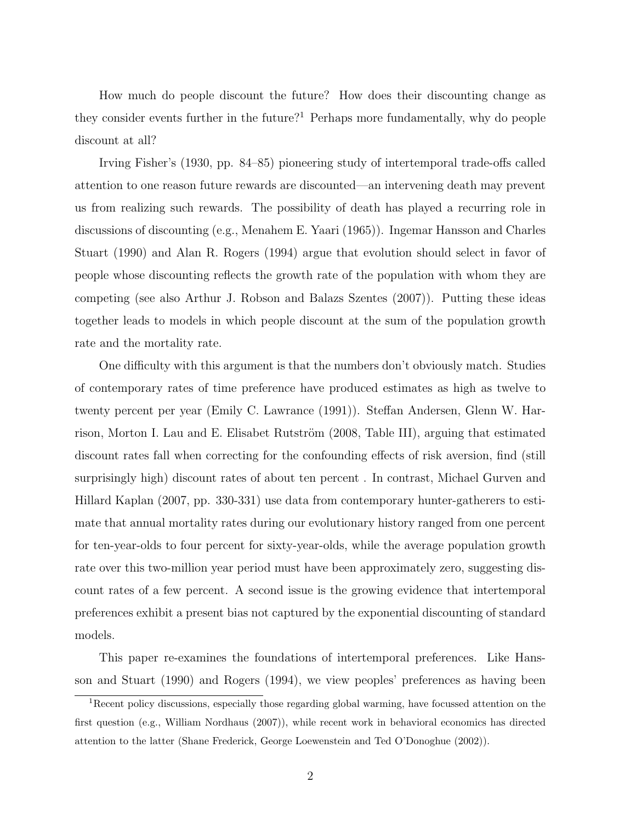How much do people discount the future? How does their discounting change as they consider events further in the future?<sup>1</sup> Perhaps more fundamentally, why do people discount at all?

Irving Fisher's (1930, pp. 84–85) pioneering study of intertemporal trade-offs called attention to one reason future rewards are discounted—an intervening death may prevent us from realizing such rewards. The possibility of death has played a recurring role in discussions of discounting (e.g., Menahem E. Yaari (1965)). Ingemar Hansson and Charles Stuart (1990) and Alan R. Rogers (1994) argue that evolution should select in favor of people whose discounting reflects the growth rate of the population with whom they are competing (see also Arthur J. Robson and Balazs Szentes (2007)). Putting these ideas together leads to models in which people discount at the sum of the population growth rate and the mortality rate.

One difficulty with this argument is that the numbers don't obviously match. Studies of contemporary rates of time preference have produced estimates as high as twelve to twenty percent per year (Emily C. Lawrance (1991)). Steffan Andersen, Glenn W. Harrison, Morton I. Lau and E. Elisabet Rutström (2008, Table III), arguing that estimated discount rates fall when correcting for the confounding effects of risk aversion, find (still surprisingly high) discount rates of about ten percent . In contrast, Michael Gurven and Hillard Kaplan (2007, pp. 330-331) use data from contemporary hunter-gatherers to estimate that annual mortality rates during our evolutionary history ranged from one percent for ten-year-olds to four percent for sixty-year-olds, while the average population growth rate over this two-million year period must have been approximately zero, suggesting discount rates of a few percent. A second issue is the growing evidence that intertemporal preferences exhibit a present bias not captured by the exponential discounting of standard models.

This paper re-examines the foundations of intertemporal preferences. Like Hansson and Stuart (1990) and Rogers (1994), we view peoples' preferences as having been

<sup>1</sup>Recent policy discussions, especially those regarding global warming, have focussed attention on the first question (e.g., William Nordhaus (2007)), while recent work in behavioral economics has directed attention to the latter (Shane Frederick, George Loewenstein and Ted O'Donoghue (2002)).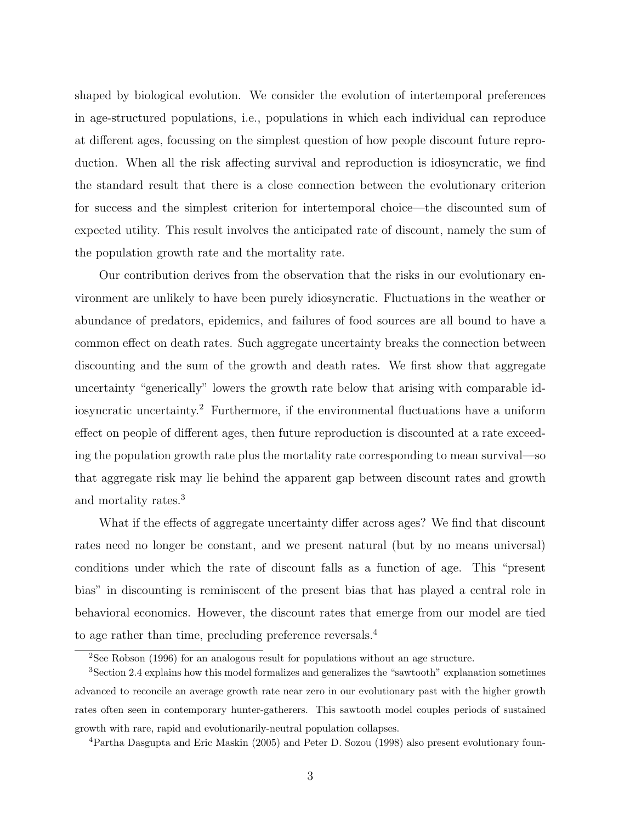shaped by biological evolution. We consider the evolution of intertemporal preferences in age-structured populations, i.e., populations in which each individual can reproduce at different ages, focussing on the simplest question of how people discount future reproduction. When all the risk affecting survival and reproduction is idiosyncratic, we find the standard result that there is a close connection between the evolutionary criterion for success and the simplest criterion for intertemporal choice—the discounted sum of expected utility. This result involves the anticipated rate of discount, namely the sum of the population growth rate and the mortality rate.

Our contribution derives from the observation that the risks in our evolutionary environment are unlikely to have been purely idiosyncratic. Fluctuations in the weather or abundance of predators, epidemics, and failures of food sources are all bound to have a common effect on death rates. Such aggregate uncertainty breaks the connection between discounting and the sum of the growth and death rates. We first show that aggregate uncertainty "generically" lowers the growth rate below that arising with comparable idiosyncratic uncertainty.<sup>2</sup> Furthermore, if the environmental fluctuations have a uniform effect on people of different ages, then future reproduction is discounted at a rate exceeding the population growth rate plus the mortality rate corresponding to mean survival—so that aggregate risk may lie behind the apparent gap between discount rates and growth and mortality rates.<sup>3</sup>

What if the effects of aggregate uncertainty differ across ages? We find that discount rates need no longer be constant, and we present natural (but by no means universal) conditions under which the rate of discount falls as a function of age. This "present bias" in discounting is reminiscent of the present bias that has played a central role in behavioral economics. However, the discount rates that emerge from our model are tied to age rather than time, precluding preference reversals.<sup>4</sup>

<sup>&</sup>lt;sup>2</sup>See Robson (1996) for an analogous result for populations without an age structure.

<sup>3</sup>Section 2.4 explains how this model formalizes and generalizes the "sawtooth" explanation sometimes advanced to reconcile an average growth rate near zero in our evolutionary past with the higher growth rates often seen in contemporary hunter-gatherers. This sawtooth model couples periods of sustained growth with rare, rapid and evolutionarily-neutral population collapses.

<sup>4</sup>Partha Dasgupta and Eric Maskin (2005) and Peter D. Sozou (1998) also present evolutionary foun-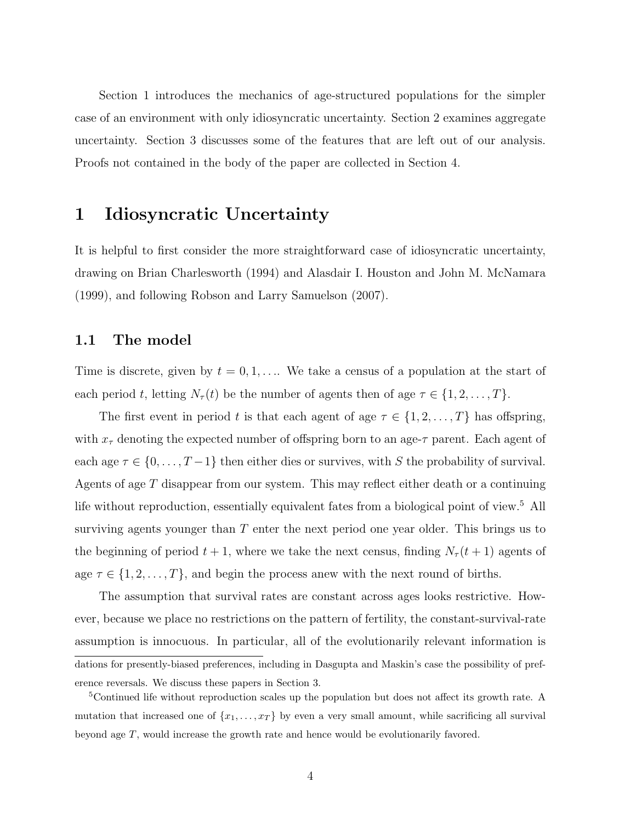Section 1 introduces the mechanics of age-structured populations for the simpler case of an environment with only idiosyncratic uncertainty. Section 2 examines aggregate uncertainty. Section 3 discusses some of the features that are left out of our analysis. Proofs not contained in the body of the paper are collected in Section 4.

### 1 Idiosyncratic Uncertainty

It is helpful to first consider the more straightforward case of idiosyncratic uncertainty, drawing on Brian Charlesworth (1994) and Alasdair I. Houston and John M. McNamara (1999), and following Robson and Larry Samuelson (2007).

### 1.1 The model

Time is discrete, given by  $t = 0, 1, \ldots$  We take a census of a population at the start of each period t, letting  $N_{\tau}(t)$  be the number of agents then of age  $\tau \in \{1, 2, ..., T\}$ .

The first event in period t is that each agent of age  $\tau \in \{1, 2, ..., T\}$  has offspring, with  $x<sub>\tau</sub>$  denoting the expected number of offspring born to an age- $\tau$  parent. Each agent of each age  $\tau \in \{0, \ldots, T-1\}$  then either dies or survives, with S the probability of survival. Agents of age T disappear from our system. This may reflect either death or a continuing life without reproduction, essentially equivalent fates from a biological point of view.<sup>5</sup> All surviving agents younger than  $T$  enter the next period one year older. This brings us to the beginning of period  $t + 1$ , where we take the next census, finding  $N_\tau(t + 1)$  agents of age  $\tau \in \{1, 2, ..., T\}$ , and begin the process anew with the next round of births.

The assumption that survival rates are constant across ages looks restrictive. However, because we place no restrictions on the pattern of fertility, the constant-survival-rate assumption is innocuous. In particular, all of the evolutionarily relevant information is dations for presently-biased preferences, including in Dasgupta and Maskin's case the possibility of preference reversals. We discuss these papers in Section 3.

<sup>&</sup>lt;sup>5</sup>Continued life without reproduction scales up the population but does not affect its growth rate. A mutation that increased one of  $\{x_1, \ldots, x_T\}$  by even a very small amount, while sacrificing all survival beyond age T, would increase the growth rate and hence would be evolutionarily favored.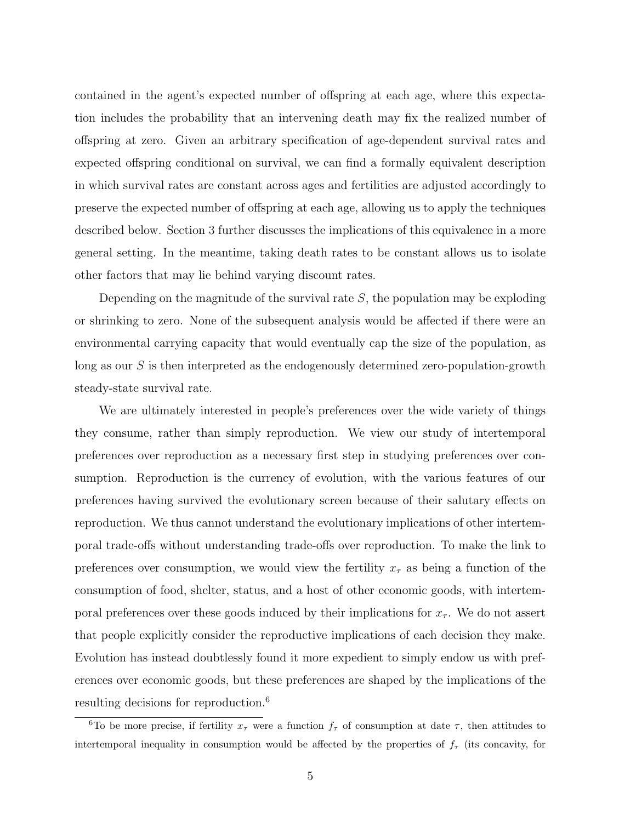contained in the agent's expected number of offspring at each age, where this expectation includes the probability that an intervening death may fix the realized number of offspring at zero. Given an arbitrary specification of age-dependent survival rates and expected offspring conditional on survival, we can find a formally equivalent description in which survival rates are constant across ages and fertilities are adjusted accordingly to preserve the expected number of offspring at each age, allowing us to apply the techniques described below. Section 3 further discusses the implications of this equivalence in a more general setting. In the meantime, taking death rates to be constant allows us to isolate other factors that may lie behind varying discount rates.

Depending on the magnitude of the survival rate S, the population may be exploding or shrinking to zero. None of the subsequent analysis would be affected if there were an environmental carrying capacity that would eventually cap the size of the population, as long as our  $S$  is then interpreted as the endogenously determined zero-population-growth steady-state survival rate.

We are ultimately interested in people's preferences over the wide variety of things they consume, rather than simply reproduction. We view our study of intertemporal preferences over reproduction as a necessary first step in studying preferences over consumption. Reproduction is the currency of evolution, with the various features of our preferences having survived the evolutionary screen because of their salutary effects on reproduction. We thus cannot understand the evolutionary implications of other intertemporal trade-offs without understanding trade-offs over reproduction. To make the link to preferences over consumption, we would view the fertility  $x<sub>\tau</sub>$  as being a function of the consumption of food, shelter, status, and a host of other economic goods, with intertemporal preferences over these goods induced by their implications for  $x_{\tau}$ . We do not assert that people explicitly consider the reproductive implications of each decision they make. Evolution has instead doubtlessly found it more expedient to simply endow us with preferences over economic goods, but these preferences are shaped by the implications of the resulting decisions for reproduction.<sup>6</sup>

<sup>&</sup>lt;sup>6</sup>To be more precise, if fertility  $x_{\tau}$  were a function  $f_{\tau}$  of consumption at date  $\tau$ , then attitudes to intertemporal inequality in consumption would be affected by the properties of  $f_{\tau}$  (its concavity, for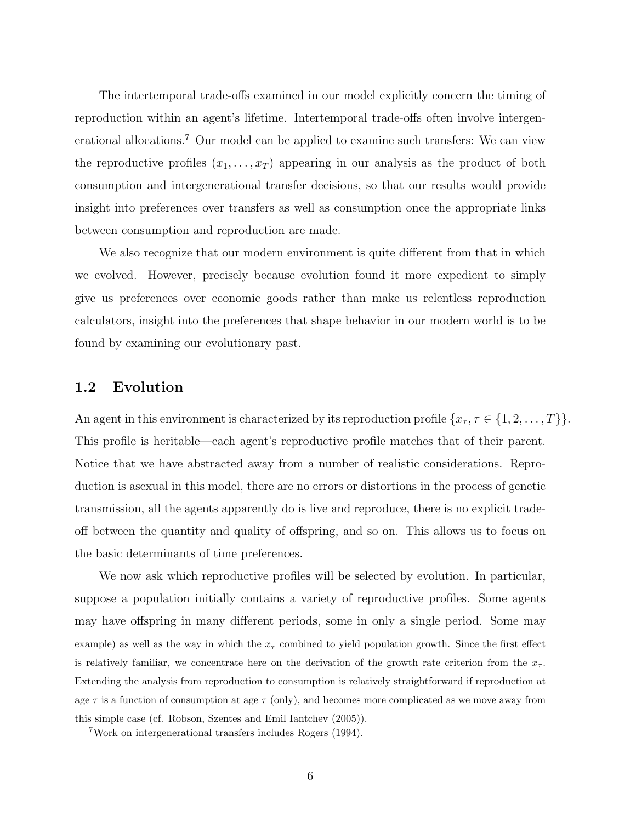The intertemporal trade-offs examined in our model explicitly concern the timing of reproduction within an agent's lifetime. Intertemporal trade-offs often involve intergenerational allocations.<sup>7</sup> Our model can be applied to examine such transfers: We can view the reproductive profiles  $(x_1, \ldots, x_T)$  appearing in our analysis as the product of both consumption and intergenerational transfer decisions, so that our results would provide insight into preferences over transfers as well as consumption once the appropriate links between consumption and reproduction are made.

We also recognize that our modern environment is quite different from that in which we evolved. However, precisely because evolution found it more expedient to simply give us preferences over economic goods rather than make us relentless reproduction calculators, insight into the preferences that shape behavior in our modern world is to be found by examining our evolutionary past.

### 1.2 Evolution

An agent in this environment is characterized by its reproduction profile  $\{x_{\tau}, \tau \in \{1, 2, \ldots, T\}\}\.$ This profile is heritable—each agent's reproductive profile matches that of their parent. Notice that we have abstracted away from a number of realistic considerations. Reproduction is asexual in this model, there are no errors or distortions in the process of genetic transmission, all the agents apparently do is live and reproduce, there is no explicit tradeoff between the quantity and quality of offspring, and so on. This allows us to focus on the basic determinants of time preferences.

We now ask which reproductive profiles will be selected by evolution. In particular, suppose a population initially contains a variety of reproductive profiles. Some agents may have offspring in many different periods, some in only a single period. Some may example) as well as the way in which the  $x<sub>\tau</sub>$  combined to yield population growth. Since the first effect is relatively familiar, we concentrate here on the derivation of the growth rate criterion from the  $x_{\tau}$ . Extending the analysis from reproduction to consumption is relatively straightforward if reproduction at age  $\tau$  is a function of consumption at age  $\tau$  (only), and becomes more complicated as we move away from this simple case (cf. Robson, Szentes and Emil Iantchev (2005)).

<sup>7</sup>Work on intergenerational transfers includes Rogers (1994).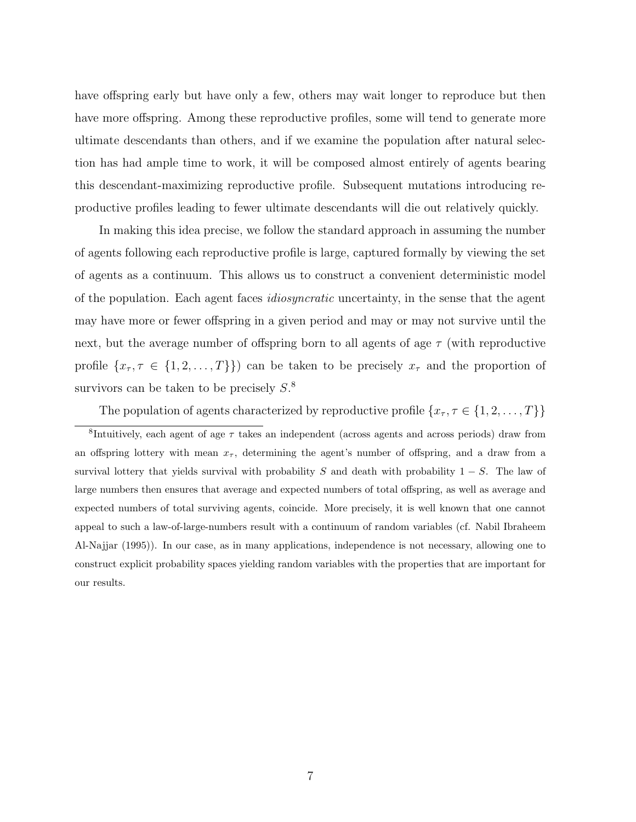have offspring early but have only a few, others may wait longer to reproduce but then have more offspring. Among these reproductive profiles, some will tend to generate more ultimate descendants than others, and if we examine the population after natural selection has had ample time to work, it will be composed almost entirely of agents bearing this descendant-maximizing reproductive profile. Subsequent mutations introducing reproductive profiles leading to fewer ultimate descendants will die out relatively quickly.

In making this idea precise, we follow the standard approach in assuming the number of agents following each reproductive profile is large, captured formally by viewing the set of agents as a continuum. This allows us to construct a convenient deterministic model of the population. Each agent faces idiosyncratic uncertainty, in the sense that the agent may have more or fewer offspring in a given period and may or may not survive until the next, but the average number of offspring born to all agents of age  $\tau$  (with reproductive profile  $\{x_{\tau}, \tau \in \{1, 2, ..., T\}\}\)$  can be taken to be precisely  $x_{\tau}$  and the proportion of survivors can be taken to be precisely  $S^8$ .

The population of agents characterized by reproductive profile  $\{x_{\tau}, \tau \in \{1, 2, ..., T\}\}\$ 

<sup>8</sup>Intuitively, each agent of age  $\tau$  takes an independent (across agents and across periods) draw from an offspring lottery with mean  $x<sub>\tau</sub>$ , determining the agent's number of offspring, and a draw from a survival lottery that yields survival with probability S and death with probability  $1-S$ . The law of large numbers then ensures that average and expected numbers of total offspring, as well as average and expected numbers of total surviving agents, coincide. More precisely, it is well known that one cannot appeal to such a law-of-large-numbers result with a continuum of random variables (cf. Nabil Ibraheem Al-Najjar (1995)). In our case, as in many applications, independence is not necessary, allowing one to construct explicit probability spaces yielding random variables with the properties that are important for our results.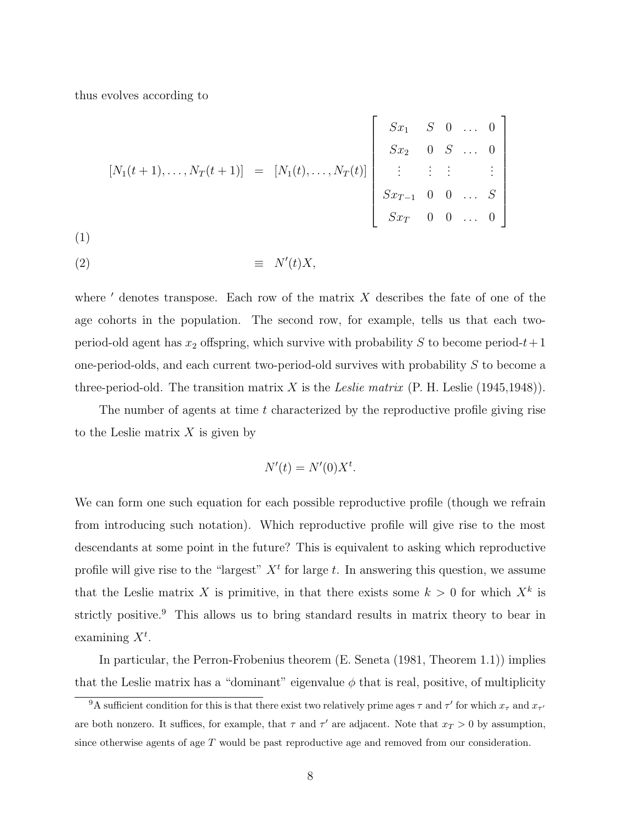thus evolves according to

(1)

$$
[N_1(t+1),...,N_T(t+1)] = [N_1(t),...,N_T(t)] \begin{bmatrix} Sx_1 & S & 0 & \dots & 0 \\ Sx_2 & 0 & S & \dots & 0 \\ \vdots & \vdots & \vdots & \vdots & \vdots \\ Sx_{T-1} & 0 & 0 & \dots & S \\ Sx_T & 0 & 0 & \dots & 0 \end{bmatrix}
$$

≡ N 0 (2) (t)X,

where  $'$  denotes transpose. Each row of the matrix  $X$  describes the fate of one of the age cohorts in the population. The second row, for example, tells us that each twoperiod-old agent has  $x_2$  offspring, which survive with probability S to become period- $t+1$ one-period-olds, and each current two-period-old survives with probability  $S$  to become a three-period-old. The transition matrix X is the Leslie matrix  $(P, H, L)$ eslie (1945,1948)).

The number of agents at time  $t$  characterized by the reproductive profile giving rise to the Leslie matrix  $X$  is given by

$$
N'(t) = N'(0)X^t.
$$

We can form one such equation for each possible reproductive profile (though we refrain from introducing such notation). Which reproductive profile will give rise to the most descendants at some point in the future? This is equivalent to asking which reproductive profile will give rise to the "largest"  $X<sup>t</sup>$  for large t. In answering this question, we assume that the Leslie matrix X is primitive, in that there exists some  $k > 0$  for which  $X^k$  is strictly positive.<sup>9</sup> This allows us to bring standard results in matrix theory to bear in examining  $X^t$ .

In particular, the Perron-Frobenius theorem (E. Seneta (1981, Theorem 1.1)) implies that the Leslie matrix has a "dominant" eigenvalue  $\phi$  that is real, positive, of multiplicity

<sup>&</sup>lt;sup>9</sup>A sufficient condition for this is that there exist two relatively prime ages  $\tau$  and  $\tau'$  for which  $x_{\tau}$  and  $x_{\tau'}$ are both nonzero. It suffices, for example, that  $\tau$  and  $\tau'$  are adjacent. Note that  $x_T > 0$  by assumption, since otherwise agents of age T would be past reproductive age and removed from our consideration.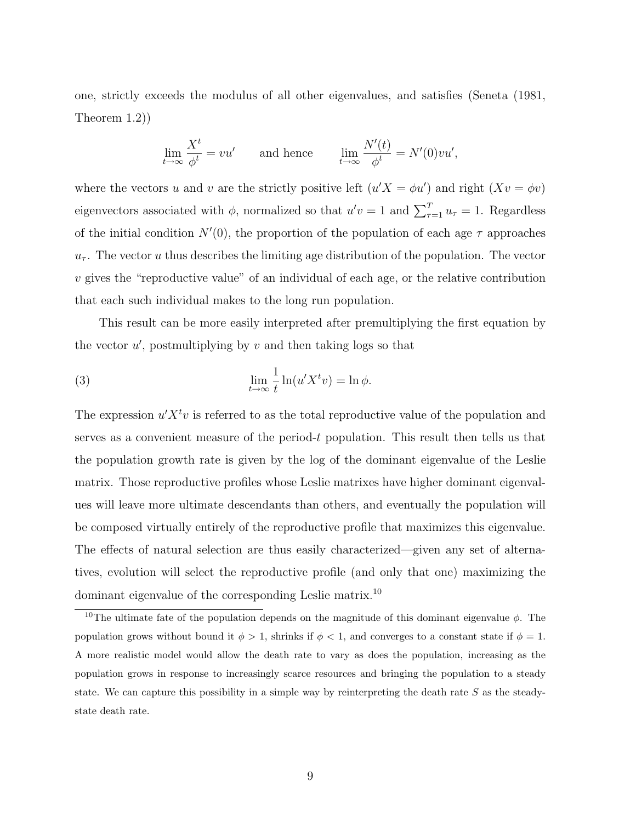one, strictly exceeds the modulus of all other eigenvalues, and satisfies (Seneta (1981, Theorem 1.2))

$$
\lim_{t \to \infty} \frac{X^t}{\phi^t} = vu' \quad \text{and hence} \quad \lim_{t \to \infty} \frac{N'(t)}{\phi^t} = N'(0)v u',
$$

where the vectors u and v are the strictly positive left  $(u'X = \phi u')$  and right  $(Xv = \phi v)$ eigenvectors associated with  $\phi$ , normalized so that  $u'v = 1$  and  $\sum_{\tau=1}^{T} u_{\tau} = 1$ . Regardless of the initial condition  $N'(0)$ , the proportion of the population of each age  $\tau$  approaches  $u_{\tau}$ . The vector u thus describes the limiting age distribution of the population. The vector v gives the "reproductive value" of an individual of each age, or the relative contribution that each such individual makes to the long run population.

This result can be more easily interpreted after premultiplying the first equation by the vector  $u'$ , postmultiplying by  $v$  and then taking logs so that

(3) 
$$
\lim_{t \to \infty} \frac{1}{t} \ln(u'X^t v) = \ln \phi.
$$

The expression  $u'X^tv$  is referred to as the total reproductive value of the population and serves as a convenient measure of the period-t population. This result then tells us that the population growth rate is given by the log of the dominant eigenvalue of the Leslie matrix. Those reproductive profiles whose Leslie matrixes have higher dominant eigenvalues will leave more ultimate descendants than others, and eventually the population will be composed virtually entirely of the reproductive profile that maximizes this eigenvalue. The effects of natural selection are thus easily characterized—given any set of alternatives, evolution will select the reproductive profile (and only that one) maximizing the dominant eigenvalue of the corresponding Leslie matrix.<sup>10</sup>

<sup>&</sup>lt;sup>10</sup>The ultimate fate of the population depends on the magnitude of this dominant eigenvalue  $\phi$ . The population grows without bound it  $\phi > 1$ , shrinks if  $\phi < 1$ , and converges to a constant state if  $\phi = 1$ . A more realistic model would allow the death rate to vary as does the population, increasing as the population grows in response to increasingly scarce resources and bringing the population to a steady state. We can capture this possibility in a simple way by reinterpreting the death rate  $S$  as the steadystate death rate.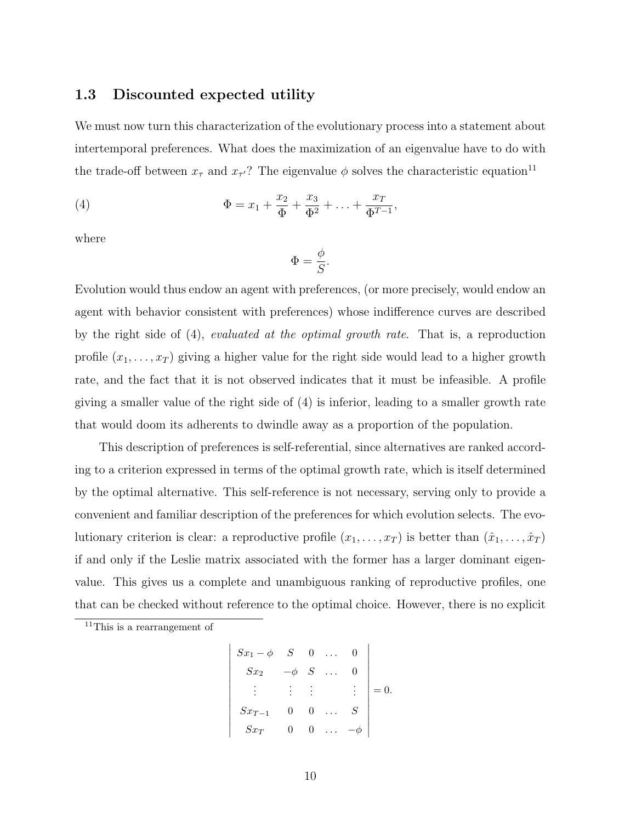### 1.3 Discounted expected utility

We must now turn this characterization of the evolutionary process into a statement about intertemporal preferences. What does the maximization of an eigenvalue have to do with the trade-off between  $x_{\tau}$  and  $x_{\tau}$ ? The eigenvalue  $\phi$  solves the characteristic equation<sup>11</sup>

(4) 
$$
\Phi = x_1 + \frac{x_2}{\Phi} + \frac{x_3}{\Phi^2} + \ldots + \frac{x_T}{\Phi^{T-1}},
$$

where

$$
\Phi=\frac{\phi}{S}.
$$

Evolution would thus endow an agent with preferences, (or more precisely, would endow an agent with behavior consistent with preferences) whose indifference curves are described by the right side of (4), evaluated at the optimal growth rate. That is, a reproduction profile  $(x_1, \ldots, x_T)$  giving a higher value for the right side would lead to a higher growth rate, and the fact that it is not observed indicates that it must be infeasible. A profile giving a smaller value of the right side of (4) is inferior, leading to a smaller growth rate that would doom its adherents to dwindle away as a proportion of the population.

This description of preferences is self-referential, since alternatives are ranked according to a criterion expressed in terms of the optimal growth rate, which is itself determined by the optimal alternative. This self-reference is not necessary, serving only to provide a convenient and familiar description of the preferences for which evolution selects. The evolutionary criterion is clear: a reproductive profile  $(x_1, \ldots, x_T)$  is better than  $(\hat{x}_1, \ldots, \hat{x}_T)$ if and only if the Leslie matrix associated with the former has a larger dominant eigenvalue. This gives us a complete and unambiguous ranking of reproductive profiles, one that can be checked without reference to the optimal choice. However, there is no explicit

<sup>11</sup>This is a rearrangement of

| $Sx_1 -$<br>$\phi$ | S            |                  |           |        |
|--------------------|--------------|------------------|-----------|--------|
| $Sx_2$             | $\phi$       | $\cal S$         |           |        |
|                    |              | ٠                | $\bullet$ | $= 0.$ |
| $Sx_{T-1}$         |              |                  |           |        |
| $Sx_T$             | $\mathbf{0}$ | $\left( \right)$ |           |        |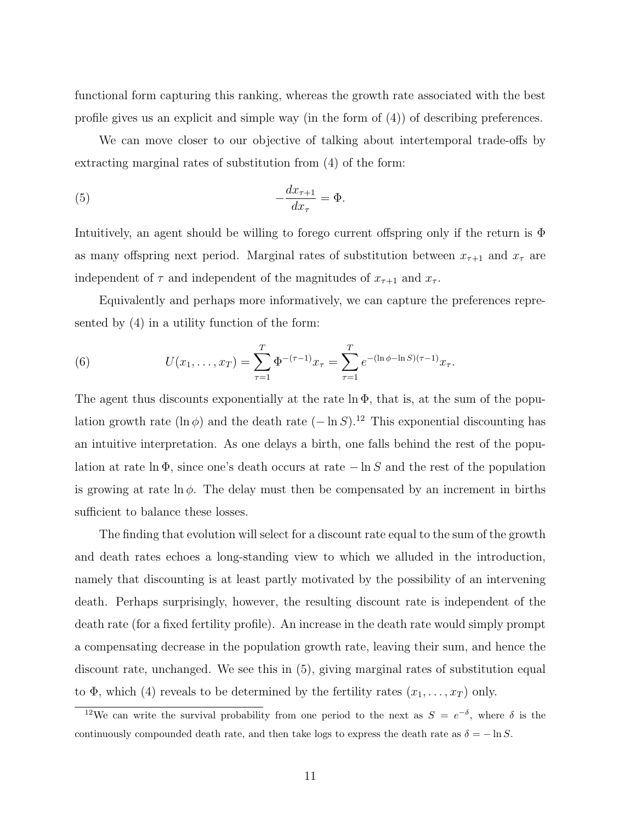functional form capturing this ranking, whereas the growth rate associated with the best profile gives us an explicit and simple way (in the form of (4)) of describing preferences.

We can move closer to our objective of talking about intertemporal trade-offs by extracting marginal rates of substitution from (4) of the form:

(5) 
$$
-\frac{dx_{\tau+1}}{dx_{\tau}} = \Phi.
$$

Intuitively, an agent should be willing to forego current offspring only if the return is Φ as many offspring next period. Marginal rates of substitution between  $x_{\tau+1}$  and  $x_{\tau}$  are independent of  $\tau$  and independent of the magnitudes of  $x_{\tau+1}$  and  $x_{\tau}$ .

Equivalently and perhaps more informatively, we can capture the preferences represented by (4) in a utility function of the form:

(6) 
$$
U(x_1,\ldots,x_T) = \sum_{\tau=1}^T \Phi^{-(\tau-1)} x_\tau = \sum_{\tau=1}^T e^{-(\ln \phi - \ln S)(\tau-1)} x_\tau.
$$

The agent thus discounts exponentially at the rate  $\ln \Phi$ , that is, at the sum of the population growth rate (ln  $\phi$ ) and the death rate (− ln S).<sup>12</sup> This exponential discounting has an intuitive interpretation. As one delays a birth, one falls behind the rest of the population at rate  $\ln \Phi$ , since one's death occurs at rate  $-\ln S$  and the rest of the population is growing at rate  $\ln \phi$ . The delay must then be compensated by an increment in births sufficient to balance these losses.

The finding that evolution will select for a discount rate equal to the sum of the growth and death rates echoes a long-standing view to which we alluded in the introduction, namely that discounting is at least partly motivated by the possibility of an intervening death. Perhaps surprisingly, however, the resulting discount rate is independent of the death rate (for a fixed fertility profile). An increase in the death rate would simply prompt a compensating decrease in the population growth rate, leaving their sum, and hence the discount rate, unchanged. We see this in (5), giving marginal rates of substitution equal to  $\Phi$ , which (4) reveals to be determined by the fertility rates  $(x_1, \ldots, x_T)$  only.

<sup>&</sup>lt;sup>12</sup>We can write the survival probability from one period to the next as  $S = e^{-\delta}$ , where  $\delta$  is the continuously compounded death rate, and then take logs to express the death rate as  $\delta = -\ln S$ .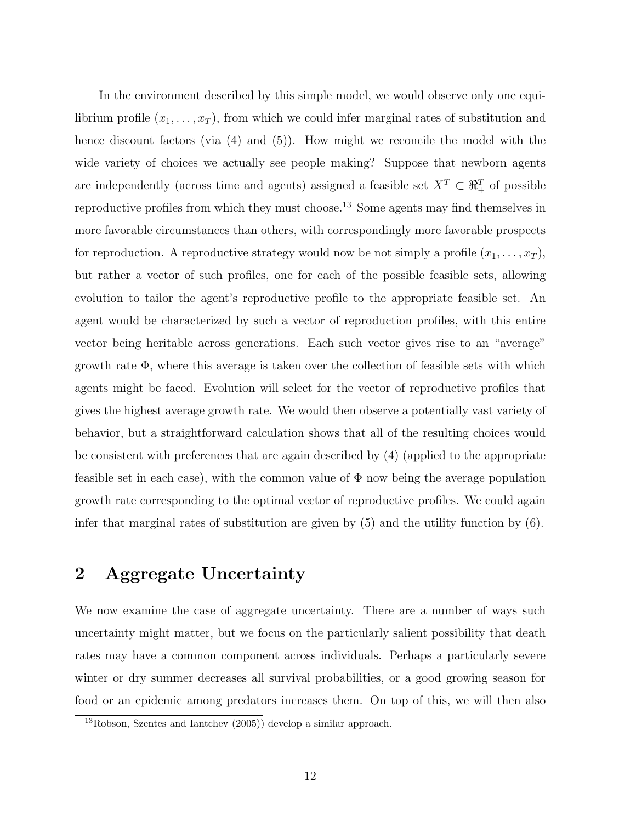In the environment described by this simple model, we would observe only one equilibrium profile  $(x_1, \ldots, x_T)$ , from which we could infer marginal rates of substitution and hence discount factors (via (4) and (5)). How might we reconcile the model with the wide variety of choices we actually see people making? Suppose that newborn agents are independently (across time and agents) assigned a feasible set  $X^T \subset \mathbb{R}^T_+$  of possible reproductive profiles from which they must choose.<sup>13</sup> Some agents may find themselves in more favorable circumstances than others, with correspondingly more favorable prospects for reproduction. A reproductive strategy would now be not simply a profile  $(x_1, \ldots, x_T)$ , but rather a vector of such profiles, one for each of the possible feasible sets, allowing evolution to tailor the agent's reproductive profile to the appropriate feasible set. An agent would be characterized by such a vector of reproduction profiles, with this entire vector being heritable across generations. Each such vector gives rise to an "average" growth rate  $\Phi$ , where this average is taken over the collection of feasible sets with which agents might be faced. Evolution will select for the vector of reproductive profiles that gives the highest average growth rate. We would then observe a potentially vast variety of behavior, but a straightforward calculation shows that all of the resulting choices would be consistent with preferences that are again described by (4) (applied to the appropriate feasible set in each case), with the common value of  $\Phi$  now being the average population growth rate corresponding to the optimal vector of reproductive profiles. We could again infer that marginal rates of substitution are given by (5) and the utility function by (6).

## 2 Aggregate Uncertainty

We now examine the case of aggregate uncertainty. There are a number of ways such uncertainty might matter, but we focus on the particularly salient possibility that death rates may have a common component across individuals. Perhaps a particularly severe winter or dry summer decreases all survival probabilities, or a good growing season for food or an epidemic among predators increases them. On top of this, we will then also

 $^{13}$ Robson, Szentes and Iantchev  $(2005)$  develop a similar approach.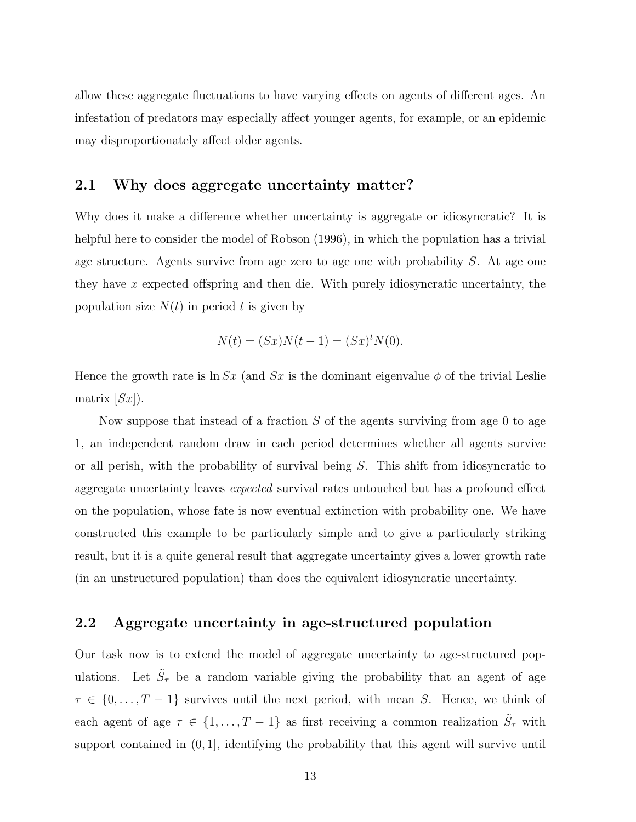allow these aggregate fluctuations to have varying effects on agents of different ages. An infestation of predators may especially affect younger agents, for example, or an epidemic may disproportionately affect older agents.

### 2.1 Why does aggregate uncertainty matter?

Why does it make a difference whether uncertainty is aggregate or idiosyncratic? It is helpful here to consider the model of Robson (1996), in which the population has a trivial age structure. Agents survive from age zero to age one with probability S. At age one they have x expected offspring and then die. With purely idiosyncratic uncertainty, the population size  $N(t)$  in period t is given by

$$
N(t) = (Sx)N(t-1) = (Sx)^{t}N(0).
$$

Hence the growth rate is  $\ln Sx$  (and Sx is the dominant eigenvalue  $\phi$  of the trivial Leslie matrix  $[Sx]$ ).

Now suppose that instead of a fraction  $S$  of the agents surviving from age 0 to age 1, an independent random draw in each period determines whether all agents survive or all perish, with the probability of survival being S. This shift from idiosyncratic to aggregate uncertainty leaves *expected* survival rates untouched but has a profound effect on the population, whose fate is now eventual extinction with probability one. We have constructed this example to be particularly simple and to give a particularly striking result, but it is a quite general result that aggregate uncertainty gives a lower growth rate (in an unstructured population) than does the equivalent idiosyncratic uncertainty.

### 2.2 Aggregate uncertainty in age-structured population

Our task now is to extend the model of aggregate uncertainty to age-structured populations. Let  $\tilde{S}_{\tau}$  be a random variable giving the probability that an agent of age  $\tau \in \{0, \ldots, T-1\}$  survives until the next period, with mean S. Hence, we think of each agent of age  $\tau \in \{1, \ldots, T-1\}$  as first receiving a common realization  $\tilde{S}_{\tau}$  with support contained in  $(0, 1]$ , identifying the probability that this agent will survive until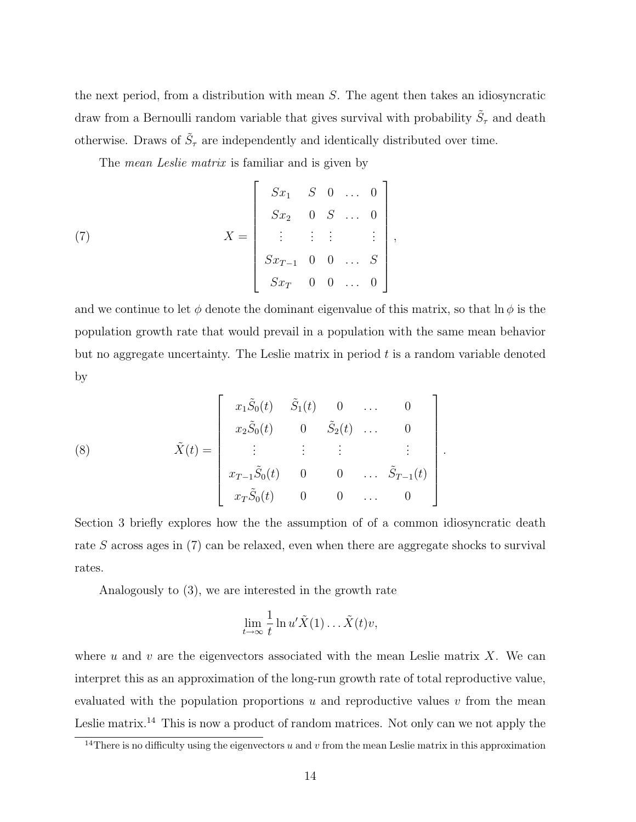the next period, from a distribution with mean S. The agent then takes an idiosyncratic draw from a Bernoulli random variable that gives survival with probability  $\tilde{S}_{\tau}$  and death otherwise. Draws of  $\tilde{S}_{\tau}$  are independently and identically distributed over time.

The *mean Leslie matrix* is familiar and is given by

(7) 
$$
X = \begin{bmatrix} Sx_1 & S & 0 & \dots & 0 \\ Sx_2 & 0 & S & \dots & 0 \\ \vdots & \vdots & \vdots & & \vdots \\ Sx_{T-1} & 0 & 0 & \dots & S \\ Sx_T & 0 & 0 & \dots & 0 \end{bmatrix},
$$

and we continue to let  $\phi$  denote the dominant eigenvalue of this matrix, so that  $\ln \phi$  is the population growth rate that would prevail in a population with the same mean behavior but no aggregate uncertainty. The Leslie matrix in period  $t$  is a random variable denoted by

(8) 
$$
\tilde{X}(t) = \begin{bmatrix} x_1 \tilde{S}_0(t) & \tilde{S}_1(t) & 0 & \dots & 0 \\ x_2 \tilde{S}_0(t) & 0 & \tilde{S}_2(t) & \dots & 0 \\ \vdots & \vdots & \vdots & \vdots & \vdots \\ x_{T-1} \tilde{S}_0(t) & 0 & 0 & \dots & \tilde{S}_{T-1}(t) \\ x_T \tilde{S}_0(t) & 0 & 0 & \dots & 0 \end{bmatrix}
$$

Section 3 briefly explores how the the assumption of of a common idiosyncratic death rate S across ages in (7) can be relaxed, even when there are aggregate shocks to survival rates.

.

Analogously to (3), we are interested in the growth rate

$$
\lim_{t \to \infty} \frac{1}{t} \ln u' \tilde{X}(1) \dots \tilde{X}(t) v,
$$

where u and v are the eigenvectors associated with the mean Leslie matrix  $X$ . We can interpret this as an approximation of the long-run growth rate of total reproductive value, evaluated with the population proportions  $u$  and reproductive values  $v$  from the mean Leslie matrix.<sup>14</sup> This is now a product of random matrices. Not only can we not apply the

<sup>&</sup>lt;sup>14</sup>There is no difficulty using the eigenvectors u and v from the mean Leslie matrix in this approximation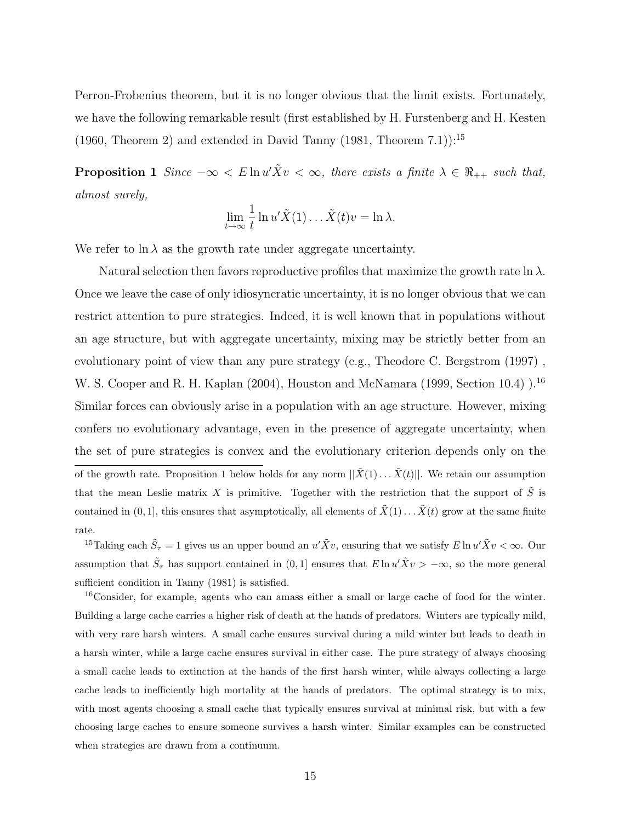Perron-Frobenius theorem, but it is no longer obvious that the limit exists. Fortunately, we have the following remarkable result (first established by H. Furstenberg and H. Kesten (1960, Theorem 2) and extended in David Tanny (1981, Theorem  $7.1$ )):<sup>15</sup>

**Proposition 1** Since  $-\infty < E \ln u' \tilde{X} v < \infty$ , there exists a finite  $\lambda \in \Re_{++}$  such that, almost surely,

$$
\lim_{t \to \infty} \frac{1}{t} \ln u' \tilde{X}(1) \dots \tilde{X}(t) v = \ln \lambda.
$$

We refer to  $\ln \lambda$  as the growth rate under aggregate uncertainty.

Natural selection then favors reproductive profiles that maximize the growth rate  $\ln \lambda$ . Once we leave the case of only idiosyncratic uncertainty, it is no longer obvious that we can restrict attention to pure strategies. Indeed, it is well known that in populations without an age structure, but with aggregate uncertainty, mixing may be strictly better from an evolutionary point of view than any pure strategy (e.g., Theodore C. Bergstrom (1997) , W. S. Cooper and R. H. Kaplan (2004), Houston and McNamara (1999, Section 10.4)  $1^{16}$ Similar forces can obviously arise in a population with an age structure. However, mixing confers no evolutionary advantage, even in the presence of aggregate uncertainty, when the set of pure strategies is convex and the evolutionary criterion depends only on the of the growth rate. Proposition 1 below holds for any norm  $||\tilde{X}(1)... \tilde{X}(t)||$ . We retain our assumption that the mean Leslie matrix X is primitive. Together with the restriction that the support of  $\tilde{S}$  is contained in  $(0, 1]$ , this ensures that asymptotically, all elements of  $\tilde{X}(1) \dots \tilde{X}(t)$  grow at the same finite rate.

<sup>15</sup>Taking each  $\tilde{S}_\tau = 1$  gives us an upper bound an  $u' \tilde{X} v$ , ensuring that we satisfy  $E \ln u' \tilde{X} v < \infty$ . Our assumption that  $\tilde{S}_{\tau}$  has support contained in  $(0,1]$  ensures that  $E \ln u' \tilde{X} v > -\infty$ , so the more general sufficient condition in Tanny (1981) is satisfied.

<sup>16</sup>Consider, for example, agents who can amass either a small or large cache of food for the winter. Building a large cache carries a higher risk of death at the hands of predators. Winters are typically mild, with very rare harsh winters. A small cache ensures survival during a mild winter but leads to death in a harsh winter, while a large cache ensures survival in either case. The pure strategy of always choosing a small cache leads to extinction at the hands of the first harsh winter, while always collecting a large cache leads to inefficiently high mortality at the hands of predators. The optimal strategy is to mix, with most agents choosing a small cache that typically ensures survival at minimal risk, but with a few choosing large caches to ensure someone survives a harsh winter. Similar examples can be constructed when strategies are drawn from a continuum.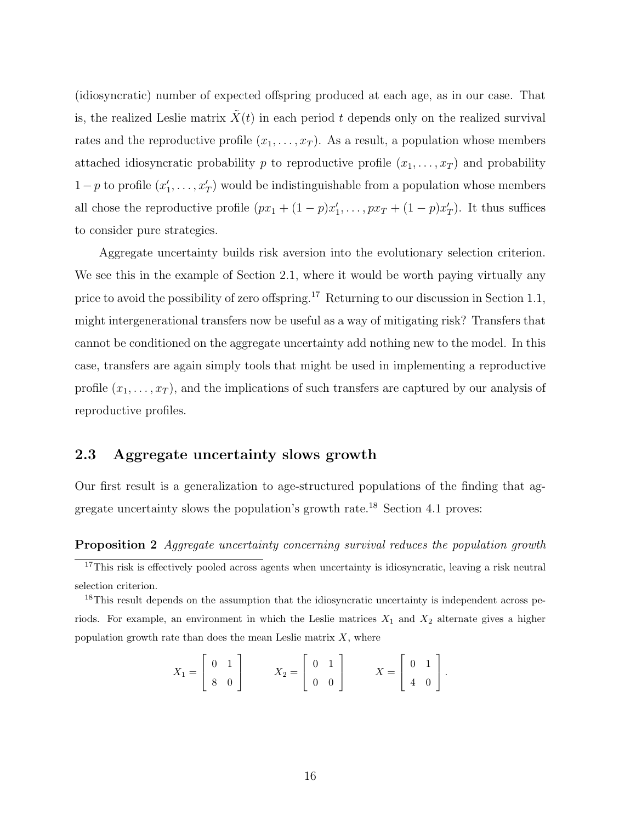(idiosyncratic) number of expected offspring produced at each age, as in our case. That is, the realized Leslie matrix  $X(t)$  in each period t depends only on the realized survival rates and the reproductive profile  $(x_1, \ldots, x_T)$ . As a result, a population whose members attached idiosyncratic probability p to reproductive profile  $(x_1, \ldots, x_T)$  and probability  $1-p$  to profile  $(x'_1, \ldots, x'_T)$  would be indistinguishable from a population whose members all chose the reproductive profile  $(px_1 + (1-p)x'_1, \ldots, px_T + (1-p)x'_T)$ . It thus suffices to consider pure strategies.

Aggregate uncertainty builds risk aversion into the evolutionary selection criterion. We see this in the example of Section 2.1, where it would be worth paying virtually any price to avoid the possibility of zero offspring.<sup>17</sup> Returning to our discussion in Section 1.1, might intergenerational transfers now be useful as a way of mitigating risk? Transfers that cannot be conditioned on the aggregate uncertainty add nothing new to the model. In this case, transfers are again simply tools that might be used in implementing a reproductive profile  $(x_1, \ldots, x_T)$ , and the implications of such transfers are captured by our analysis of reproductive profiles.

### 2.3 Aggregate uncertainty slows growth

Our first result is a generalization to age-structured populations of the finding that aggregate uncertainty slows the population's growth rate.<sup>18</sup> Section 4.1 proves:

Proposition 2 Aggregate uncertainty concerning survival reduces the population growth

$$
X_1 = \left[ \begin{array}{cc} 0 & 1 \\ 8 & 0 \end{array} \right] \qquad X_2 = \left[ \begin{array}{cc} 0 & 1 \\ 0 & 0 \end{array} \right] \qquad X = \left[ \begin{array}{cc} 0 & 1 \\ 4 & 0 \end{array} \right].
$$

<sup>&</sup>lt;sup>17</sup>This risk is effectively pooled across agents when uncertainty is idiosyncratic, leaving a risk neutral selection criterion.

<sup>&</sup>lt;sup>18</sup>This result depends on the assumption that the idiosyncratic uncertainty is independent across periods. For example, an environment in which the Leslie matrices  $X_1$  and  $X_2$  alternate gives a higher population growth rate than does the mean Leslie matrix  $X$ , where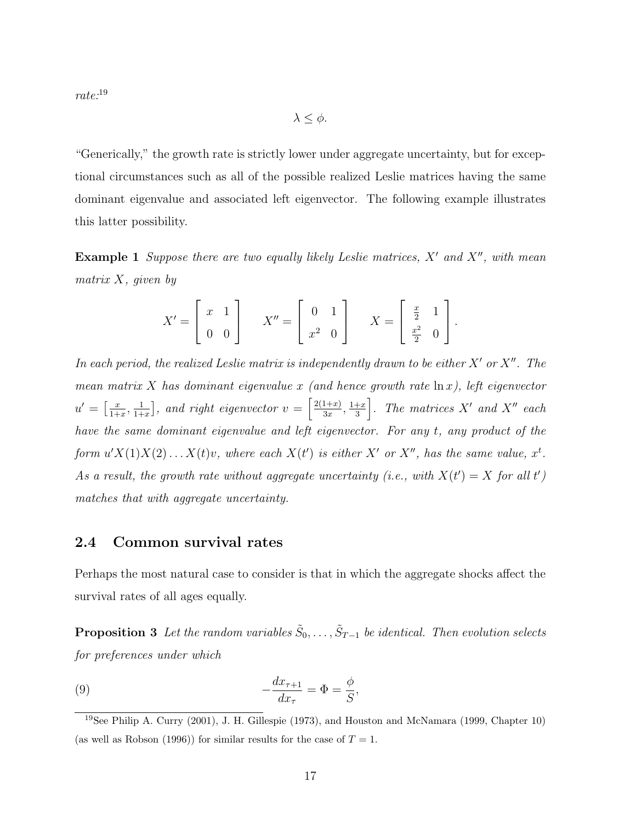rate:<sup>19</sup>

$$
\lambda \leq \phi.
$$

"Generically," the growth rate is strictly lower under aggregate uncertainty, but for exceptional circumstances such as all of the possible realized Leslie matrices having the same dominant eigenvalue and associated left eigenvector. The following example illustrates this latter possibility.

**Example 1** Suppose there are two equally likely Leslie matrices,  $X'$  and  $X''$ , with mean matrix  $X$ , given by

$$
X' = \begin{bmatrix} x & 1 \\ 0 & 0 \end{bmatrix} \qquad X'' = \begin{bmatrix} 0 & 1 \\ x^2 & 0 \end{bmatrix} \qquad X = \begin{bmatrix} \frac{x}{2} & 1 \\ \frac{x^2}{2} & 0 \end{bmatrix}.
$$

In each period, the realized Leslie matrix is independently drawn to be either  $X'$  or  $X''$ . The mean matrix X has dominant eigenvalue x (and hence growth rate  $\ln x$ ), left eigenvector  $u' = \left[\frac{x}{1 + \dots}\right]$  $\frac{x}{1+x}$ ,  $\frac{1}{1+x}$  $\frac{1}{1+x}$ , and right eigenvector  $v = \left[\frac{2(1+x)}{3x}\right]$  $\frac{1+x}{3x}, \frac{1+x}{3}$  $\left\lfloor \frac{+x}{3} \right\rfloor$ . The matrices X' and X" each have the same dominant eigenvalue and left eigenvector. For any t, any product of the form  $u'X(1)X(2)...X(t)v$ , where each  $X(t')$  is either X' or X'', has the same value,  $x^t$ . As a result, the growth rate without aggregate uncertainty (i.e., with  $X(t') = X$  for all t') matches that with aggregate uncertainty.

#### 2.4 Common survival rates

Perhaps the most natural case to consider is that in which the aggregate shocks affect the survival rates of all ages equally.

**Proposition 3** Let the random variables  $\tilde{S}_0, \ldots, \tilde{S}_{T-1}$  be identical. Then evolution selects for preferences under which

(9) 
$$
-\frac{dx_{\tau+1}}{dx_{\tau}} = \Phi = \frac{\phi}{S},
$$

<sup>19</sup>See Philip A. Curry (2001), J. H. Gillespie (1973), and Houston and McNamara (1999, Chapter 10) (as well as Robson (1996)) for similar results for the case of  $T = 1$ .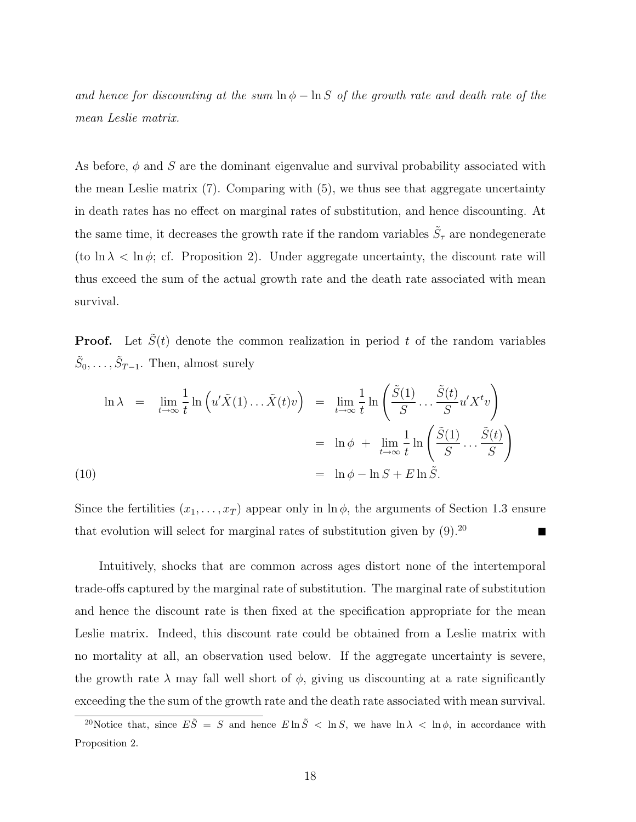and hence for discounting at the sum  $\ln \phi - \ln S$  of the growth rate and death rate of the mean Leslie matrix.

As before,  $\phi$  and S are the dominant eigenvalue and survival probability associated with the mean Leslie matrix (7). Comparing with (5), we thus see that aggregate uncertainty in death rates has no effect on marginal rates of substitution, and hence discounting. At the same time, it decreases the growth rate if the random variables  $\tilde{S}_{\tau}$  are nondegenerate (to  $\ln \lambda < \ln \phi$ ; cf. Proposition 2). Under aggregate uncertainty, the discount rate will thus exceed the sum of the actual growth rate and the death rate associated with mean survival.

**Proof.** Let  $\tilde{S}(t)$  denote the common realization in period t of the random variables  $\tilde{S}_0, \ldots, \tilde{S}_{T-1}$ . Then, almost surely

$$
\ln \lambda = \lim_{t \to \infty} \frac{1}{t} \ln \left( u' \tilde{X}(1) \dots \tilde{X}(t) v \right) = \lim_{t \to \infty} \frac{1}{t} \ln \left( \frac{\tilde{S}(1)}{S} \dots \frac{\tilde{S}(t)}{S} u' X^t v \right)
$$

$$
= \ln \phi + \lim_{t \to \infty} \frac{1}{t} \ln \left( \frac{\tilde{S}(1)}{S} \dots \frac{\tilde{S}(t)}{S} \right)
$$

$$
= \ln \phi - \ln S + E \ln \tilde{S}.
$$

Since the fertilities  $(x_1, \ldots, x_T)$  appear only in  $\ln \phi$ , the arguments of Section 1.3 ensure that evolution will select for marginal rates of substitution given by  $(9).^{20}$ 

Intuitively, shocks that are common across ages distort none of the intertemporal trade-offs captured by the marginal rate of substitution. The marginal rate of substitution and hence the discount rate is then fixed at the specification appropriate for the mean Leslie matrix. Indeed, this discount rate could be obtained from a Leslie matrix with no mortality at all, an observation used below. If the aggregate uncertainty is severe, the growth rate  $\lambda$  may fall well short of  $\phi$ , giving us discounting at a rate significantly exceeding the the sum of the growth rate and the death rate associated with mean survival.

<sup>&</sup>lt;sup>20</sup>Notice that, since  $E\tilde{S} = S$  and hence  $E \ln \tilde{S} < \ln S$ , we have  $\ln \lambda < \ln \phi$ , in accordance with Proposition 2.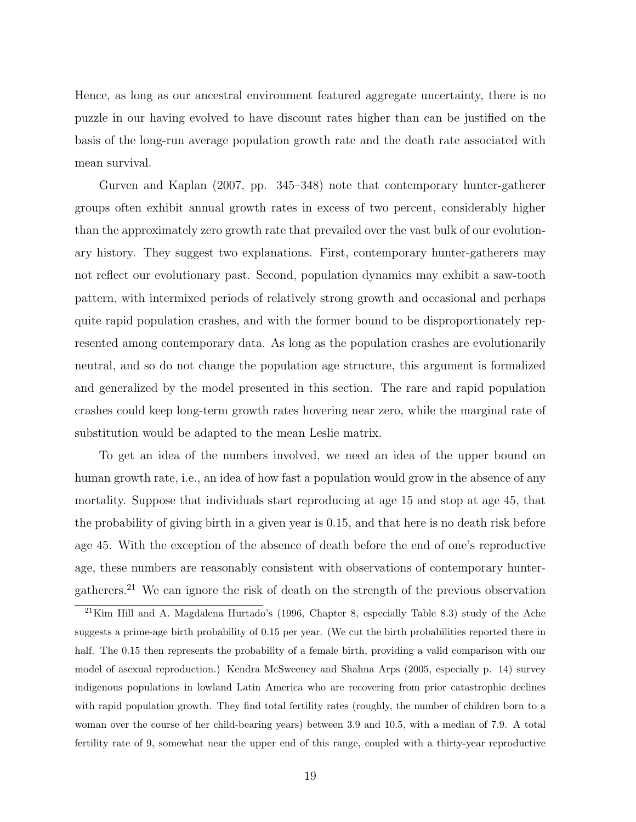Hence, as long as our ancestral environment featured aggregate uncertainty, there is no puzzle in our having evolved to have discount rates higher than can be justified on the basis of the long-run average population growth rate and the death rate associated with mean survival.

Gurven and Kaplan (2007, pp. 345–348) note that contemporary hunter-gatherer groups often exhibit annual growth rates in excess of two percent, considerably higher than the approximately zero growth rate that prevailed over the vast bulk of our evolutionary history. They suggest two explanations. First, contemporary hunter-gatherers may not reflect our evolutionary past. Second, population dynamics may exhibit a saw-tooth pattern, with intermixed periods of relatively strong growth and occasional and perhaps quite rapid population crashes, and with the former bound to be disproportionately represented among contemporary data. As long as the population crashes are evolutionarily neutral, and so do not change the population age structure, this argument is formalized and generalized by the model presented in this section. The rare and rapid population crashes could keep long-term growth rates hovering near zero, while the marginal rate of substitution would be adapted to the mean Leslie matrix.

To get an idea of the numbers involved, we need an idea of the upper bound on human growth rate, i.e., an idea of how fast a population would grow in the absence of any mortality. Suppose that individuals start reproducing at age 15 and stop at age 45, that the probability of giving birth in a given year is 0.15, and that here is no death risk before age 45. With the exception of the absence of death before the end of one's reproductive age, these numbers are reasonably consistent with observations of contemporary huntergatherers.<sup>21</sup> We can ignore the risk of death on the strength of the previous observation

<sup>21</sup>Kim Hill and A. Magdalena Hurtado's (1996, Chapter 8, especially Table 8.3) study of the Ache suggests a prime-age birth probability of 0.15 per year. (We cut the birth probabilities reported there in half. The 0.15 then represents the probability of a female birth, providing a valid comparison with our model of asexual reproduction.) Kendra McSweeney and Shahna Arps (2005, especially p. 14) survey indigenous populations in lowland Latin America who are recovering from prior catastrophic declines with rapid population growth. They find total fertility rates (roughly, the number of children born to a woman over the course of her child-bearing years) between 3.9 and 10.5, with a median of 7.9. A total fertility rate of 9, somewhat near the upper end of this range, coupled with a thirty-year reproductive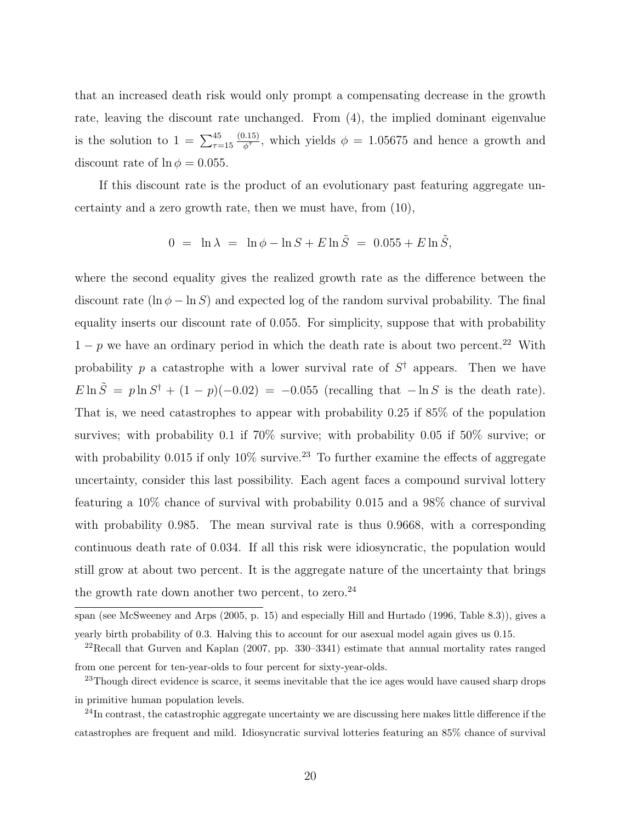that an increased death risk would only prompt a compensating decrease in the growth rate, leaving the discount rate unchanged. From (4), the implied dominant eigenvalue is the solution to  $1 = \sum_{\tau=15}^{45}$ (0.15)  $\frac{(\lambda + 15)}{\phi^{\tau}}$ , which yields  $\phi = 1.05675$  and hence a growth and discount rate of  $\ln \phi = 0.055$ .

If this discount rate is the product of an evolutionary past featuring aggregate uncertainty and a zero growth rate, then we must have, from (10),

$$
0 = \ln \lambda = \ln \phi - \ln S + E \ln \tilde{S} = 0.055 + E \ln \tilde{S},
$$

where the second equality gives the realized growth rate as the difference between the discount rate  $(\ln \phi - \ln S)$  and expected log of the random survival probability. The final equality inserts our discount rate of 0.055. For simplicity, suppose that with probability  $1-p$  we have an ordinary period in which the death rate is about two percent.<sup>22</sup> With probability  $p$  a catastrophe with a lower survival rate of  $S^{\dagger}$  appears. Then we have  $E \ln \tilde{S} = p \ln S^{\dagger} + (1 - p)(-0.02) = -0.055$  (recalling that  $-\ln S$  is the death rate). That is, we need catastrophes to appear with probability 0.25 if 85% of the population survives; with probability 0.1 if 70% survive; with probability 0.05 if 50% survive; or with probability  $0.015$  if only  $10\%$  survive.<sup>23</sup> To further examine the effects of aggregate uncertainty, consider this last possibility. Each agent faces a compound survival lottery featuring a 10% chance of survival with probability 0.015 and a 98% chance of survival with probability 0.985. The mean survival rate is thus 0.9668, with a corresponding continuous death rate of 0.034. If all this risk were idiosyncratic, the population would still grow at about two percent. It is the aggregate nature of the uncertainty that brings the growth rate down another two percent, to zero. $^{24}$ 

span (see McSweeney and Arps (2005, p. 15) and especially Hill and Hurtado (1996, Table 8.3)), gives a yearly birth probability of 0.3. Halving this to account for our asexual model again gives us 0.15.

<sup>&</sup>lt;sup>22</sup>Recall that Gurven and Kaplan (2007, pp. 330–3341) estimate that annual mortality rates ranged from one percent for ten-year-olds to four percent for sixty-year-olds.

<sup>&</sup>lt;sup>23</sup>Though direct evidence is scarce, it seems inevitable that the ice ages would have caused sharp drops in primitive human population levels.

<sup>&</sup>lt;sup>24</sup>In contrast, the catastrophic aggregate uncertainty we are discussing here makes little difference if the catastrophes are frequent and mild. Idiosyncratic survival lotteries featuring an 85% chance of survival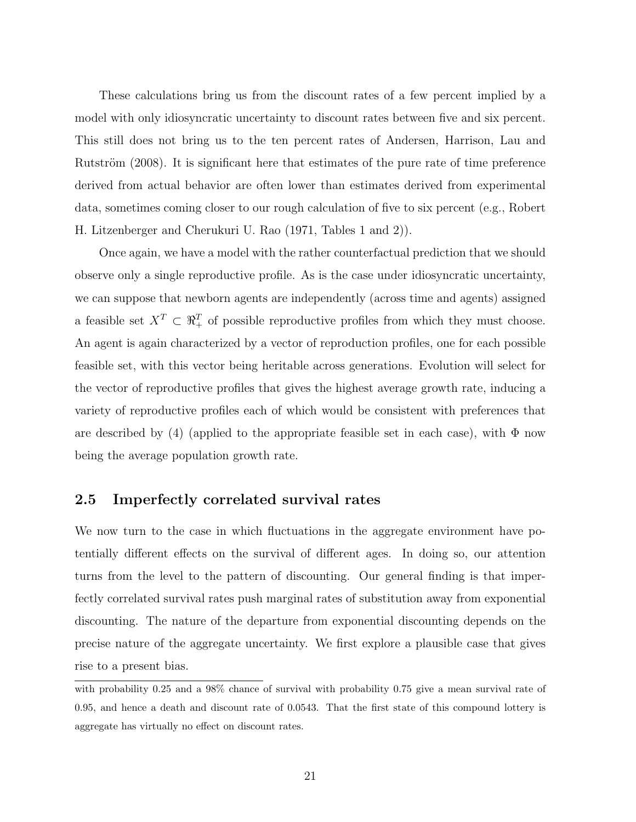These calculations bring us from the discount rates of a few percent implied by a model with only idiosyncratic uncertainty to discount rates between five and six percent. This still does not bring us to the ten percent rates of Andersen, Harrison, Lau and Rutström (2008). It is significant here that estimates of the pure rate of time preference derived from actual behavior are often lower than estimates derived from experimental data, sometimes coming closer to our rough calculation of five to six percent (e.g., Robert H. Litzenberger and Cherukuri U. Rao (1971, Tables 1 and 2)).

Once again, we have a model with the rather counterfactual prediction that we should observe only a single reproductive profile. As is the case under idiosyncratic uncertainty, we can suppose that newborn agents are independently (across time and agents) assigned a feasible set  $X^T \subset \mathbb{R}_+^T$  of possible reproductive profiles from which they must choose. An agent is again characterized by a vector of reproduction profiles, one for each possible feasible set, with this vector being heritable across generations. Evolution will select for the vector of reproductive profiles that gives the highest average growth rate, inducing a variety of reproductive profiles each of which would be consistent with preferences that are described by (4) (applied to the appropriate feasible set in each case), with  $\Phi$  now being the average population growth rate.

#### 2.5 Imperfectly correlated survival rates

We now turn to the case in which fluctuations in the aggregate environment have potentially different effects on the survival of different ages. In doing so, our attention turns from the level to the pattern of discounting. Our general finding is that imperfectly correlated survival rates push marginal rates of substitution away from exponential discounting. The nature of the departure from exponential discounting depends on the precise nature of the aggregate uncertainty. We first explore a plausible case that gives rise to a present bias.

with probability 0.25 and a 98% chance of survival with probability 0.75 give a mean survival rate of 0.95, and hence a death and discount rate of 0.0543. That the first state of this compound lottery is aggregate has virtually no effect on discount rates.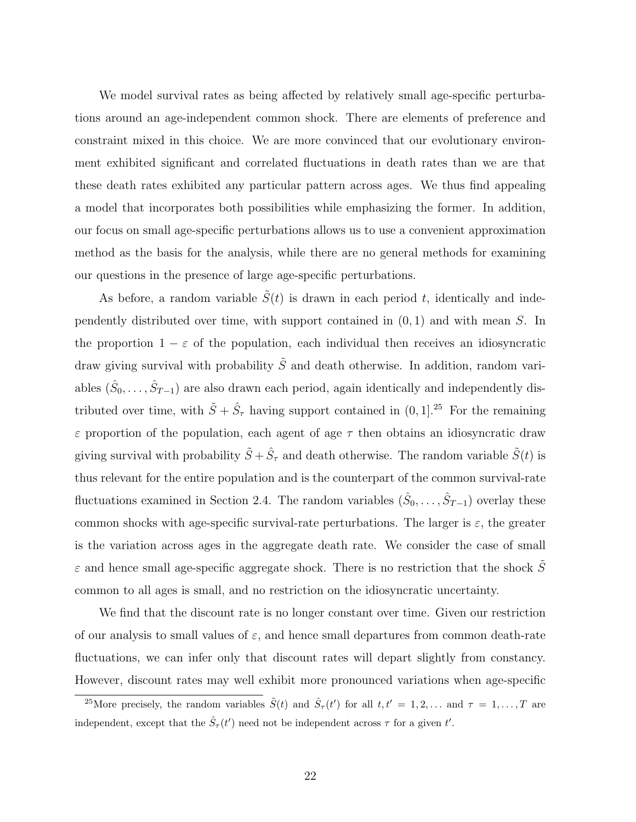We model survival rates as being affected by relatively small age-specific perturbations around an age-independent common shock. There are elements of preference and constraint mixed in this choice. We are more convinced that our evolutionary environment exhibited significant and correlated fluctuations in death rates than we are that these death rates exhibited any particular pattern across ages. We thus find appealing a model that incorporates both possibilities while emphasizing the former. In addition, our focus on small age-specific perturbations allows us to use a convenient approximation method as the basis for the analysis, while there are no general methods for examining our questions in the presence of large age-specific perturbations.

As before, a random variable  $\tilde{S}(t)$  is drawn in each period t, identically and independently distributed over time, with support contained in  $(0, 1)$  and with mean S. In the proportion  $1 - \varepsilon$  of the population, each individual then receives an idiosyncratic draw giving survival with probability  $\tilde{S}$  and death otherwise. In addition, random variables  $(\hat{S}_0, \ldots, \hat{S}_{T-1})$  are also drawn each period, again identically and independently distributed over time, with  $\tilde{S} + \hat{S}_{\tau}$  having support contained in  $(0, 1]$ .<sup>25</sup> For the remaining  $\varepsilon$  proportion of the population, each agent of age  $\tau$  then obtains an idiosyncratic draw giving survival with probability  $\tilde{S} + \hat{S}_{\tau}$  and death otherwise. The random variable  $\tilde{S}(t)$  is thus relevant for the entire population and is the counterpart of the common survival-rate fluctuations examined in Section 2.4. The random variables  $(\hat{S}_0, \ldots, \hat{S}_{T-1})$  overlay these common shocks with age-specific survival-rate perturbations. The larger is  $\varepsilon$ , the greater is the variation across ages in the aggregate death rate. We consider the case of small  $\varepsilon$  and hence small age-specific aggregate shock. There is no restriction that the shock S common to all ages is small, and no restriction on the idiosyncratic uncertainty.

We find that the discount rate is no longer constant over time. Given our restriction of our analysis to small values of  $\varepsilon$ , and hence small departures from common death-rate fluctuations, we can infer only that discount rates will depart slightly from constancy. However, discount rates may well exhibit more pronounced variations when age-specific

<sup>&</sup>lt;sup>25</sup>More precisely, the random variables  $\tilde{S}(t)$  and  $\hat{S}_{\tau}(t')$  for all  $t, t' = 1, 2, ...$  and  $\tau = 1, ..., T$  are independent, except that the  $\hat{S}_{\tau}(t')$  need not be independent across  $\tau$  for a given  $t'$ .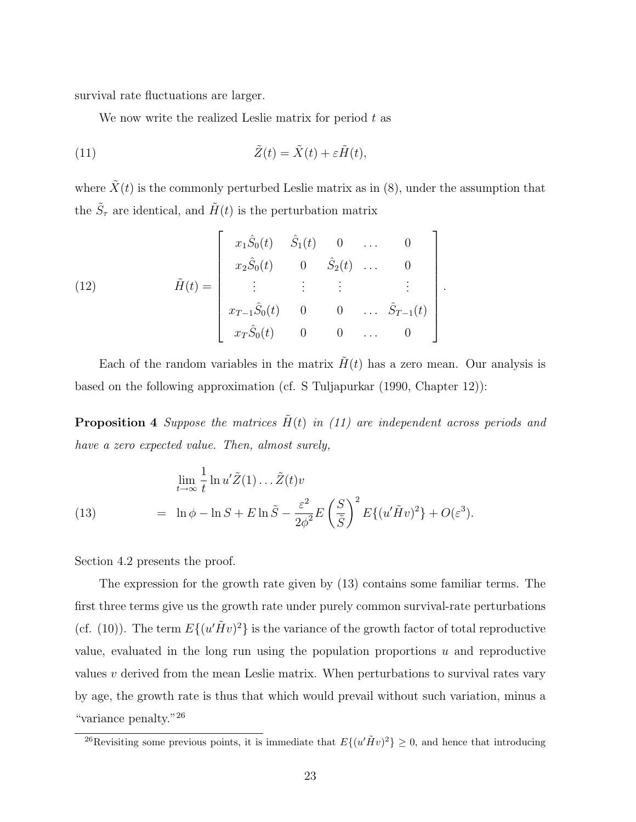survival rate fluctuations are larger.

We now write the realized Leslie matrix for period  $t$  as

(11) 
$$
\tilde{Z}(t) = \tilde{X}(t) + \varepsilon \tilde{H}(t),
$$

where  $\tilde{X}(t)$  is the commonly perturbed Leslie matrix as in (8), under the assumption that the  $\tilde{S}_{\tau}$  are identical, and  $\tilde{H}(t)$  is the perturbation matrix

.

(12) 
$$
\tilde{H}(t) = \begin{bmatrix} x_1 \hat{S}_0(t) & \hat{S}_1(t) & 0 & \dots & 0 \\ x_2 \hat{S}_0(t) & 0 & \hat{S}_2(t) & \dots & 0 \\ \vdots & \vdots & \vdots & & \vdots \\ x_{T-1} \hat{S}_0(t) & 0 & 0 & \dots & \hat{S}_{T-1}(t) \\ x_T \hat{S}_0(t) & 0 & 0 & \dots & 0 \end{bmatrix}
$$

Each of the random variables in the matrix  $H(t)$  has a zero mean. Our analysis is based on the following approximation (cf. S Tuljapurkar (1990, Chapter 12)):

**Proposition 4** Suppose the matrices  $\tilde{H}(t)$  in (11) are independent across periods and have a zero expected value. Then, almost surely,

(13) 
$$
\lim_{t \to \infty} \frac{1}{t} \ln u' \tilde{Z}(1) \dots \tilde{Z}(t) v
$$

$$
= \ln \phi - \ln S + E \ln \tilde{S} - \frac{\varepsilon^2}{2\phi^2} E \left(\frac{S}{\tilde{S}}\right)^2 E \{(u'\tilde{H}v)^2\} + O(\varepsilon^3).
$$

Section 4.2 presents the proof.

The expression for the growth rate given by (13) contains some familiar terms. The first three terms give us the growth rate under purely common survival-rate perturbations (cf. (10)). The term  $E\{(u'\tilde{H}v)^2\}$  is the variance of the growth factor of total reproductive value, evaluated in the long run using the population proportions  $u$  and reproductive values v derived from the mean Leslie matrix. When perturbations to survival rates vary by age, the growth rate is thus that which would prevail without such variation, minus a "variance penalty."<sup>26</sup>

<sup>&</sup>lt;sup>26</sup>Revisiting some previous points, it is immediate that  $E\{(u'\tilde{H}v)^2\}\geq 0$ , and hence that introducing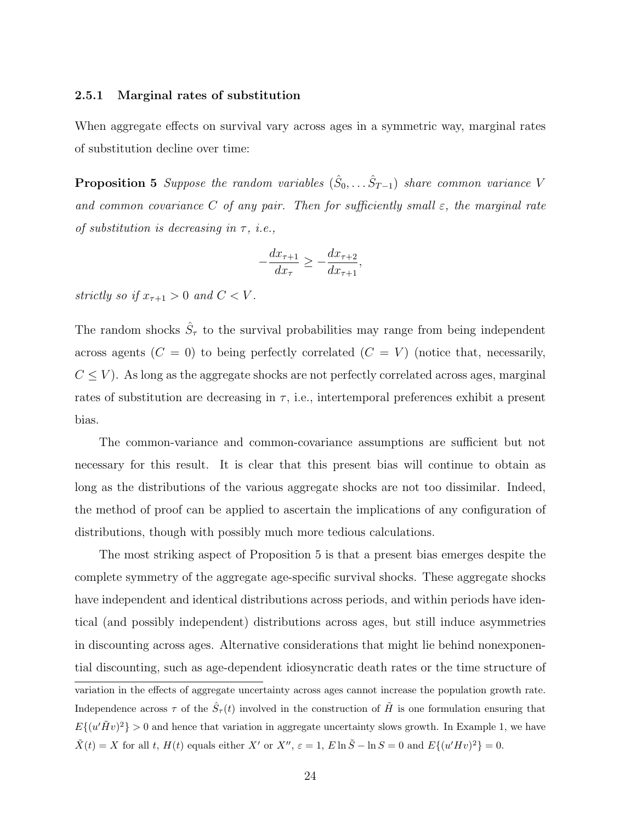#### 2.5.1 Marginal rates of substitution

When aggregate effects on survival vary across ages in a symmetric way, marginal rates of substitution decline over time:

**Proposition 5** Suppose the random variables  $(\hat{S}_0, \ldots \hat{S}_{T-1})$  share common variance V and common covariance C of any pair. Then for sufficiently small  $\varepsilon$ , the marginal rate of substitution is decreasing in  $\tau$ , i.e.,

$$
-\frac{dx_{\tau+1}}{dx_{\tau}} \ge -\frac{dx_{\tau+2}}{dx_{\tau+1}},
$$

strictly so if  $x_{\tau+1} > 0$  and  $C < V$ .

The random shocks  $\hat{S}_{\tau}$  to the survival probabilities may range from being independent across agents  $(C = 0)$  to being perfectly correlated  $(C = V)$  (notice that, necessarily,  $C \leq V$ ). As long as the aggregate shocks are not perfectly correlated across ages, marginal rates of substitution are decreasing in  $\tau$ , i.e., intertemporal preferences exhibit a present bias.

The common-variance and common-covariance assumptions are sufficient but not necessary for this result. It is clear that this present bias will continue to obtain as long as the distributions of the various aggregate shocks are not too dissimilar. Indeed, the method of proof can be applied to ascertain the implications of any configuration of distributions, though with possibly much more tedious calculations.

The most striking aspect of Proposition 5 is that a present bias emerges despite the complete symmetry of the aggregate age-specific survival shocks. These aggregate shocks have independent and identical distributions across periods, and within periods have identical (and possibly independent) distributions across ages, but still induce asymmetries in discounting across ages. Alternative considerations that might lie behind nonexponential discounting, such as age-dependent idiosyncratic death rates or the time structure of variation in the effects of aggregate uncertainty across ages cannot increase the population growth rate. Independence across  $\tau$  of the  $\hat{S}_{\tau}(t)$  involved in the construction of  $\tilde{H}$  is one formulation ensuring that  $E\{(u'\tilde{H}v)^2\} > 0$  and hence that variation in aggregate uncertainty slows growth. In Example 1, we have  $\tilde{X}(t) = X$  for all t,  $H(t)$  equals either X' or X",  $\varepsilon = 1$ ,  $E \ln \tilde{S} - \ln S = 0$  and  $E\{(u'Hv)^2\} = 0$ .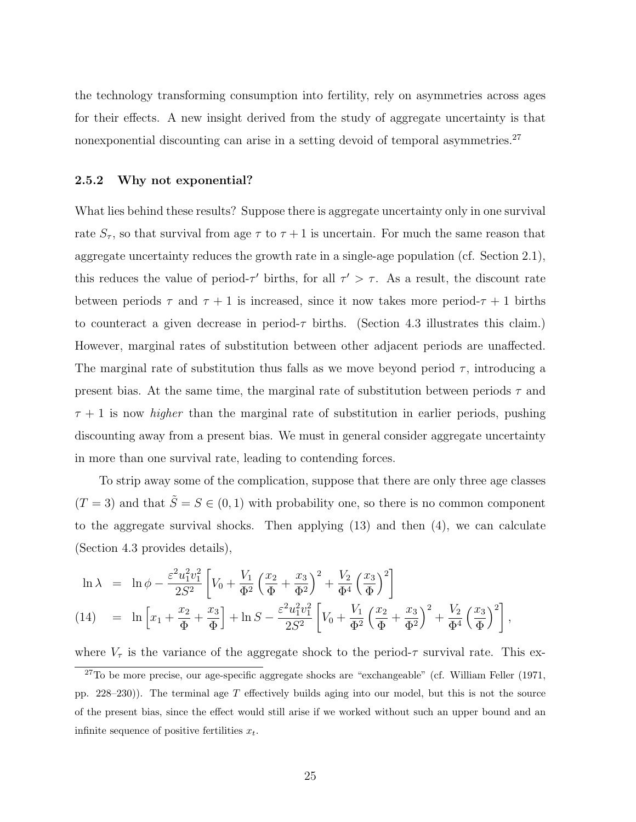the technology transforming consumption into fertility, rely on asymmetries across ages for their effects. A new insight derived from the study of aggregate uncertainty is that nonexponential discounting can arise in a setting devoid of temporal asymmetries.<sup>27</sup>

#### 2.5.2 Why not exponential?

What lies behind these results? Suppose there is aggregate uncertainty only in one survival rate  $S_{\tau}$ , so that survival from age  $\tau$  to  $\tau + 1$  is uncertain. For much the same reason that aggregate uncertainty reduces the growth rate in a single-age population (cf. Section 2.1), this reduces the value of period- $\tau'$  births, for all  $\tau' > \tau$ . As a result, the discount rate between periods  $\tau$  and  $\tau + 1$  is increased, since it now takes more period- $\tau + 1$  births to counteract a given decrease in period- $\tau$  births. (Section 4.3 illustrates this claim.) However, marginal rates of substitution between other adjacent periods are unaffected. The marginal rate of substitution thus falls as we move beyond period  $\tau$ , introducing a present bias. At the same time, the marginal rate of substitution between periods  $\tau$  and  $\tau + 1$  is now *higher* than the marginal rate of substitution in earlier periods, pushing discounting away from a present bias. We must in general consider aggregate uncertainty in more than one survival rate, leading to contending forces.

To strip away some of the complication, suppose that there are only three age classes  $(T = 3)$  and that  $\tilde{S} = S \in (0, 1)$  with probability one, so there is no common component to the aggregate survival shocks. Then applying (13) and then (4), we can calculate (Section 4.3 provides details),

$$
\ln \lambda = \ln \phi - \frac{\varepsilon^2 u_1^2 v_1^2}{2S^2} \left[ V_0 + \frac{V_1}{\Phi^2} \left( \frac{x_2}{\Phi} + \frac{x_3}{\Phi^2} \right)^2 + \frac{V_2}{\Phi^4} \left( \frac{x_3}{\Phi} \right)^2 \right]
$$
\n
$$
(14) = \ln \left[ x_1 + \frac{x_2}{\Phi} + \frac{x_3}{\Phi} \right] + \ln S - \frac{\varepsilon^2 u_1^2 v_1^2}{2S^2} \left[ V_0 + \frac{V_1}{\Phi^2} \left( \frac{x_2}{\Phi} + \frac{x_3}{\Phi^2} \right)^2 + \frac{V_2}{\Phi^4} \left( \frac{x_3}{\Phi} \right)^2 \right],
$$

where  $V_{\tau}$  is the variance of the aggregate shock to the period- $\tau$  survival rate. This ex-

<sup>27</sup>To be more precise, our age-specific aggregate shocks are "exchangeable" (cf. William Feller (1971, pp.  $228-230$ ). The terminal age T effectively builds aging into our model, but this is not the source of the present bias, since the effect would still arise if we worked without such an upper bound and an infinite sequence of positive fertilities  $x_t$ .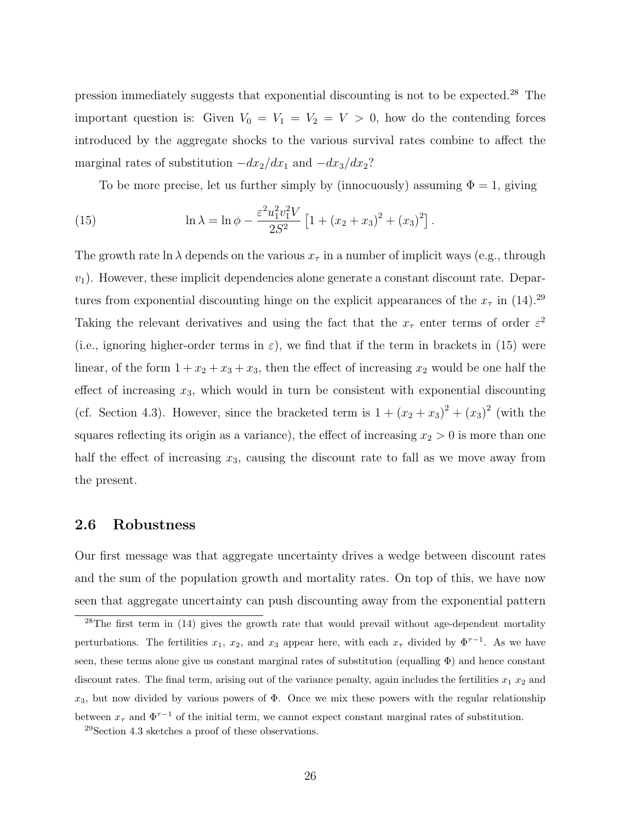pression immediately suggests that exponential discounting is not to be expected.<sup>28</sup> The important question is: Given  $V_0 = V_1 = V_2 = V > 0$ , how do the contending forces introduced by the aggregate shocks to the various survival rates combine to affect the marginal rates of substitution  $-dx_2/dx_1$  and  $-dx_3/dx_2$ ?

To be more precise, let us further simply by (innocuously) assuming  $\Phi = 1$ , giving

(15) 
$$
\ln \lambda = \ln \phi - \frac{\varepsilon^2 u_1^2 v_1^2 V}{2S^2} \left[ 1 + (x_2 + x_3)^2 + (x_3)^2 \right].
$$

The growth rate  $\ln \lambda$  depends on the various  $x_{\tau}$  in a number of implicit ways (e.g., through  $v_1$ ). However, these implicit dependencies alone generate a constant discount rate. Departures from exponential discounting hinge on the explicit appearances of the  $x<sub>\tau</sub>$  in (14).<sup>29</sup> Taking the relevant derivatives and using the fact that the  $x<sub>\tau</sub>$  enter terms of order  $\varepsilon^2$ (i.e., ignoring higher-order terms in  $\varepsilon$ ), we find that if the term in brackets in (15) were linear, of the form  $1 + x_2 + x_3 + x_3$ , then the effect of increasing  $x_2$  would be one half the effect of increasing  $x_3$ , which would in turn be consistent with exponential discounting (cf. Section 4.3). However, since the bracketed term is  $1 + (x_2 + x_3)^2 + (x_3)^2$  (with the squares reflecting its origin as a variance), the effect of increasing  $x_2 > 0$  is more than one half the effect of increasing  $x_3$ , causing the discount rate to fall as we move away from the present.

### 2.6 Robustness

Our first message was that aggregate uncertainty drives a wedge between discount rates and the sum of the population growth and mortality rates. On top of this, we have now seen that aggregate uncertainty can push discounting away from the exponential pattern

 $^{28}$ The first term in (14) gives the growth rate that would prevail without age-dependent mortality perturbations. The fertilities  $x_1, x_2$ , and  $x_3$  appear here, with each  $x_\tau$  divided by  $\Phi^{\tau-1}$ . As we have seen, these terms alone give us constant marginal rates of substitution (equalling  $\Phi$ ) and hence constant discount rates. The final term, arising out of the variance penalty, again includes the fertilities  $x_1 x_2$  and  $x_3$ , but now divided by various powers of  $\Phi$ . Once we mix these powers with the regular relationship between  $x_{\tau}$  and  $\Phi^{\tau-1}$  of the initial term, we cannot expect constant marginal rates of substitution.

<sup>29</sup>Section 4.3 sketches a proof of these observations.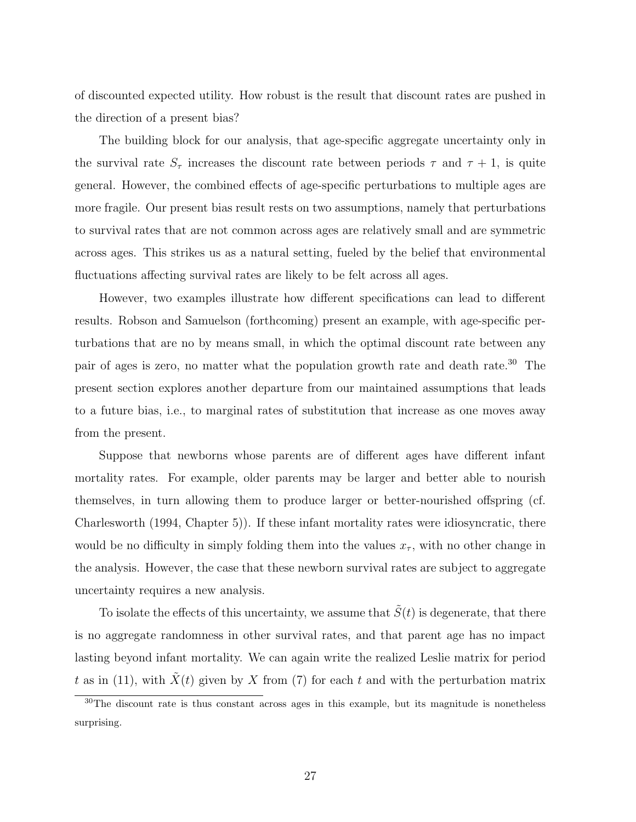of discounted expected utility. How robust is the result that discount rates are pushed in the direction of a present bias?

The building block for our analysis, that age-specific aggregate uncertainty only in the survival rate  $S_{\tau}$  increases the discount rate between periods  $\tau$  and  $\tau + 1$ , is quite general. However, the combined effects of age-specific perturbations to multiple ages are more fragile. Our present bias result rests on two assumptions, namely that perturbations to survival rates that are not common across ages are relatively small and are symmetric across ages. This strikes us as a natural setting, fueled by the belief that environmental fluctuations affecting survival rates are likely to be felt across all ages.

However, two examples illustrate how different specifications can lead to different results. Robson and Samuelson (forthcoming) present an example, with age-specific perturbations that are no by means small, in which the optimal discount rate between any pair of ages is zero, no matter what the population growth rate and death rate.<sup>30</sup> The present section explores another departure from our maintained assumptions that leads to a future bias, i.e., to marginal rates of substitution that increase as one moves away from the present.

Suppose that newborns whose parents are of different ages have different infant mortality rates. For example, older parents may be larger and better able to nourish themselves, in turn allowing them to produce larger or better-nourished offspring (cf. Charlesworth (1994, Chapter 5)). If these infant mortality rates were idiosyncratic, there would be no difficulty in simply folding them into the values  $x_{\tau}$ , with no other change in the analysis. However, the case that these newborn survival rates are subject to aggregate uncertainty requires a new analysis.

To isolate the effects of this uncertainty, we assume that  $\tilde{S}(t)$  is degenerate, that there is no aggregate randomness in other survival rates, and that parent age has no impact lasting beyond infant mortality. We can again write the realized Leslie matrix for period t as in (11), with  $\tilde{X}(t)$  given by X from (7) for each t and with the perturbation matrix

 $30$ The discount rate is thus constant across ages in this example, but its magnitude is nonetheless surprising.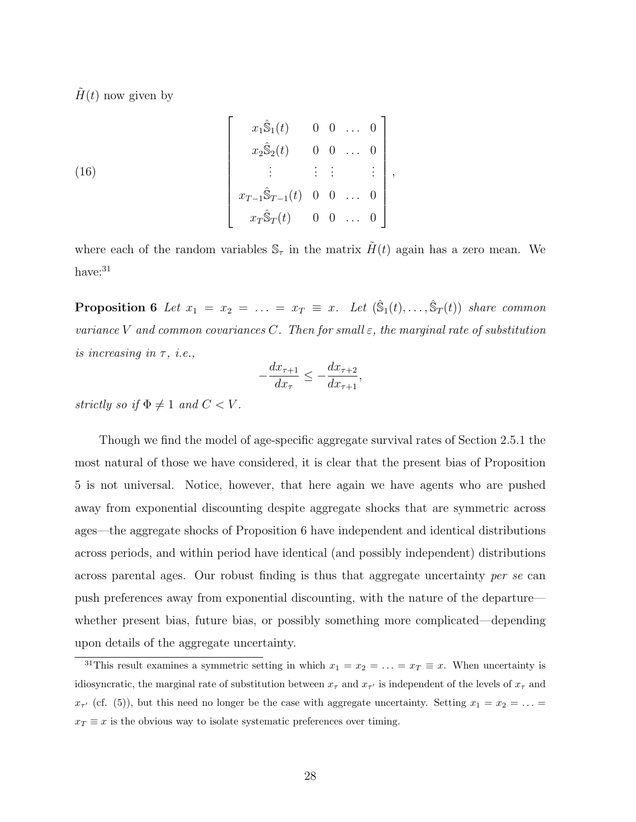$H(t)$  now given by

(16) 
$$
\begin{bmatrix} x_1\hat{S}_1(t) & 0 & 0 & \dots & 0 \\ x_2\hat{S}_2(t) & 0 & 0 & \dots & 0 \\ \vdots & \vdots & \vdots & \vdots & \vdots \\ x_{T-1}\hat{S}_{T-1}(t) & 0 & 0 & \dots & 0 \\ x_T\hat{S}_T(t) & 0 & 0 & \dots & 0 \end{bmatrix},
$$

where each of the random variables  $\mathcal{S}_{\tau}$  in the matrix  $\tilde{H}(t)$  again has a zero mean. We have: $31$ 

**Proposition 6** Let  $x_1 = x_2 = \ldots = x_T \equiv x$ . Let  $(\hat{S}_1(t), \ldots, \hat{S}_T(t))$  share common variance V and common covariances C. Then for small  $\varepsilon$ , the marginal rate of substitution is increasing in  $\tau$ , i.e.,

$$
-\frac{dx_{\tau+1}}{dx_{\tau}} \le -\frac{dx_{\tau+2}}{dx_{\tau+1}},
$$

strictly so if  $\Phi \neq 1$  and  $C < V$ .

Though we find the model of age-specific aggregate survival rates of Section 2.5.1 the most natural of those we have considered, it is clear that the present bias of Proposition 5 is not universal. Notice, however, that here again we have agents who are pushed away from exponential discounting despite aggregate shocks that are symmetric across ages—the aggregate shocks of Proposition 6 have independent and identical distributions across periods, and within period have identical (and possibly independent) distributions across parental ages. Our robust finding is thus that aggregate uncertainty per se can push preferences away from exponential discounting, with the nature of the departure whether present bias, future bias, or possibly something more complicated—depending upon details of the aggregate uncertainty.

<sup>&</sup>lt;sup>31</sup>This result examines a symmetric setting in which  $x_1 = x_2 = \ldots = x_T \equiv x$ . When uncertainty is idiosyncratic, the marginal rate of substitution between  $x_{\tau}$  and  $x_{\tau'}$  is independent of the levels of  $x_{\tau}$  and  $x_{\tau'}$  (cf. (5)), but this need no longer be the case with aggregate uncertainty. Setting  $x_1 = x_2 = \ldots =$  $x_T \equiv x$  is the obvious way to isolate systematic preferences over timing.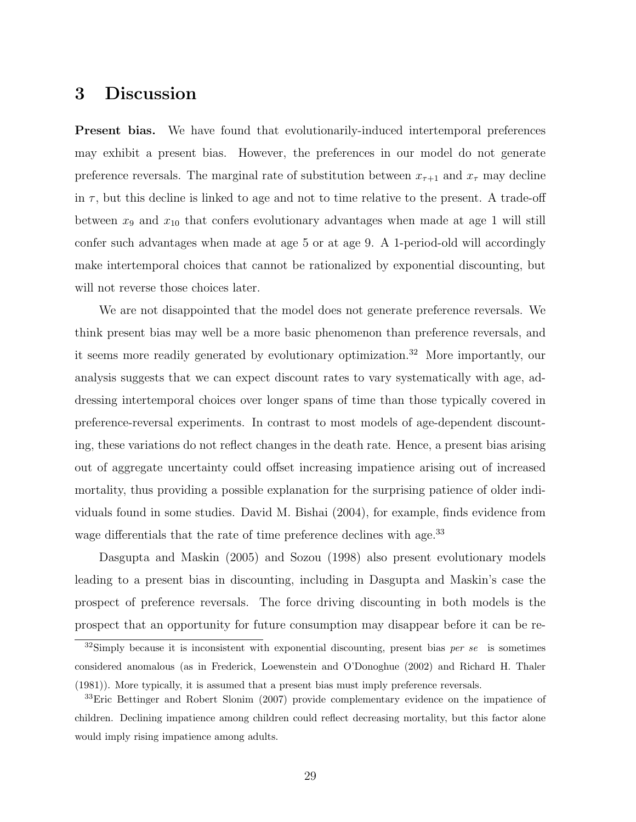## 3 Discussion

**Present bias.** We have found that evolutionarily-induced intertemporal preferences may exhibit a present bias. However, the preferences in our model do not generate preference reversals. The marginal rate of substitution between  $x_{\tau+1}$  and  $x_{\tau}$  may decline in  $\tau$ , but this decline is linked to age and not to time relative to the present. A trade-off between  $x_9$  and  $x_{10}$  that confers evolutionary advantages when made at age 1 will still confer such advantages when made at age 5 or at age 9. A 1-period-old will accordingly make intertemporal choices that cannot be rationalized by exponential discounting, but will not reverse those choices later.

We are not disappointed that the model does not generate preference reversals. We think present bias may well be a more basic phenomenon than preference reversals, and it seems more readily generated by evolutionary optimization.<sup>32</sup> More importantly, our analysis suggests that we can expect discount rates to vary systematically with age, addressing intertemporal choices over longer spans of time than those typically covered in preference-reversal experiments. In contrast to most models of age-dependent discounting, these variations do not reflect changes in the death rate. Hence, a present bias arising out of aggregate uncertainty could offset increasing impatience arising out of increased mortality, thus providing a possible explanation for the surprising patience of older individuals found in some studies. David M. Bishai (2004), for example, finds evidence from wage differentials that the rate of time preference declines with age.<sup>33</sup>

Dasgupta and Maskin (2005) and Sozou (1998) also present evolutionary models leading to a present bias in discounting, including in Dasgupta and Maskin's case the prospect of preference reversals. The force driving discounting in both models is the prospect that an opportunity for future consumption may disappear before it can be re-

 $32$ Simply because it is inconsistent with exponential discounting, present bias *per se* is sometimes considered anomalous (as in Frederick, Loewenstein and O'Donoghue (2002) and Richard H. Thaler (1981)). More typically, it is assumed that a present bias must imply preference reversals.

<sup>&</sup>lt;sup>33</sup>Eric Bettinger and Robert Slonim (2007) provide complementary evidence on the impatience of children. Declining impatience among children could reflect decreasing mortality, but this factor alone would imply rising impatience among adults.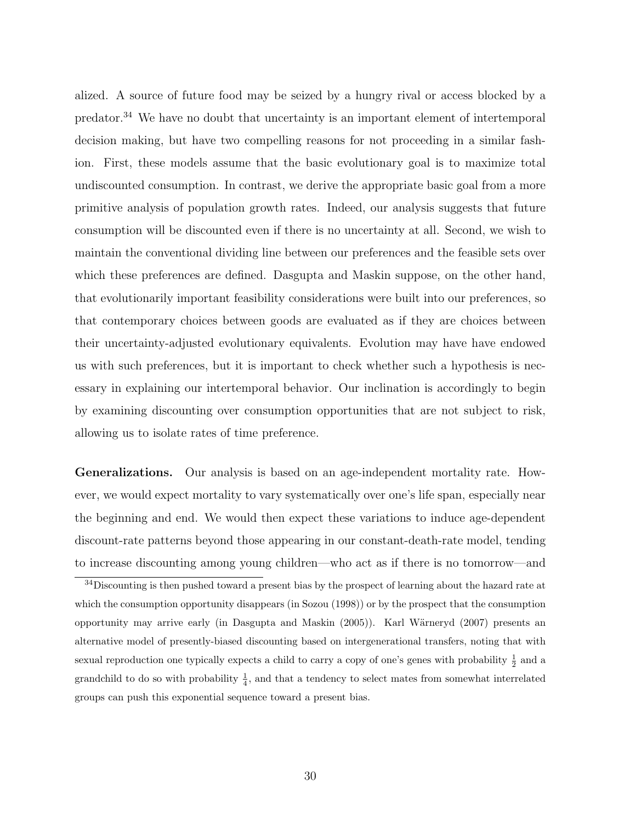alized. A source of future food may be seized by a hungry rival or access blocked by a predator.<sup>34</sup> We have no doubt that uncertainty is an important element of intertemporal decision making, but have two compelling reasons for not proceeding in a similar fashion. First, these models assume that the basic evolutionary goal is to maximize total undiscounted consumption. In contrast, we derive the appropriate basic goal from a more primitive analysis of population growth rates. Indeed, our analysis suggests that future consumption will be discounted even if there is no uncertainty at all. Second, we wish to maintain the conventional dividing line between our preferences and the feasible sets over which these preferences are defined. Dasgupta and Maskin suppose, on the other hand, that evolutionarily important feasibility considerations were built into our preferences, so that contemporary choices between goods are evaluated as if they are choices between their uncertainty-adjusted evolutionary equivalents. Evolution may have have endowed us with such preferences, but it is important to check whether such a hypothesis is necessary in explaining our intertemporal behavior. Our inclination is accordingly to begin by examining discounting over consumption opportunities that are not subject to risk, allowing us to isolate rates of time preference.

Generalizations. Our analysis is based on an age-independent mortality rate. However, we would expect mortality to vary systematically over one's life span, especially near the beginning and end. We would then expect these variations to induce age-dependent discount-rate patterns beyond those appearing in our constant-death-rate model, tending to increase discounting among young children—who act as if there is no tomorrow—and

<sup>&</sup>lt;sup>34</sup>Discounting is then pushed toward a present bias by the prospect of learning about the hazard rate at which the consumption opportunity disappears (in Sozou (1998)) or by the prospect that the consumption opportunity may arrive early (in Dasgupta and Maskin (2005)). Karl W¨arneryd (2007) presents an alternative model of presently-biased discounting based on intergenerational transfers, noting that with sexual reproduction one typically expects a child to carry a copy of one's genes with probability  $\frac{1}{2}$  and a grandchild to do so with probability  $\frac{1}{4}$ , and that a tendency to select mates from somewhat interrelated groups can push this exponential sequence toward a present bias.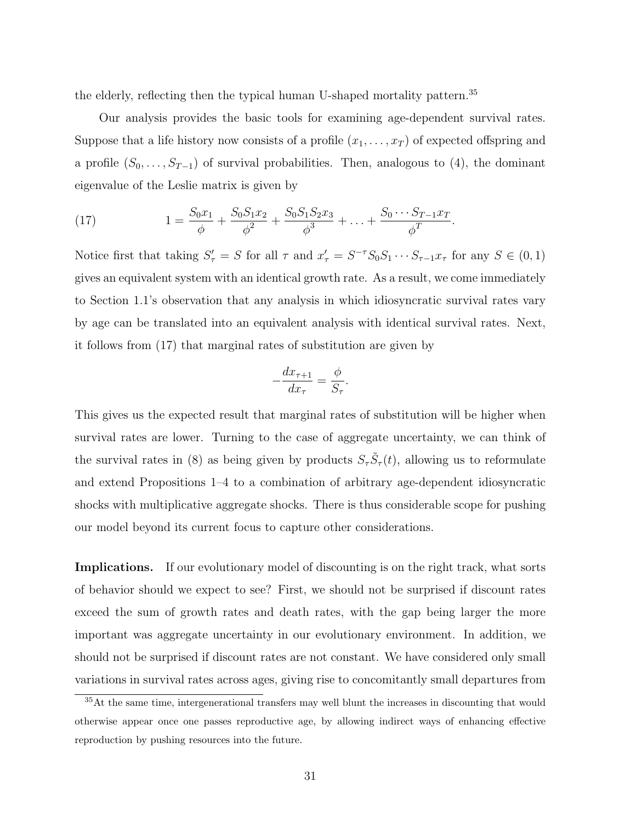the elderly, reflecting then the typical human U-shaped mortality pattern.<sup>35</sup>

Our analysis provides the basic tools for examining age-dependent survival rates. Suppose that a life history now consists of a profile  $(x_1, \ldots, x_T)$  of expected offspring and a profile  $(S_0, \ldots, S_{T-1})$  of survival probabilities. Then, analogous to (4), the dominant eigenvalue of the Leslie matrix is given by

(17) 
$$
1 = \frac{S_0 x_1}{\phi} + \frac{S_0 S_1 x_2}{\phi^2} + \frac{S_0 S_1 S_2 x_3}{\phi^3} + \ldots + \frac{S_0 \cdots S_{T-1} x_T}{\phi^T}.
$$

Notice first that taking  $S'_{\tau} = S$  for all  $\tau$  and  $x'_{\tau} = S^{-\tau}S_0S_1 \cdots S_{\tau-1}x_{\tau}$  for any  $S \in (0,1)$ gives an equivalent system with an identical growth rate. As a result, we come immediately to Section 1.1's observation that any analysis in which idiosyncratic survival rates vary by age can be translated into an equivalent analysis with identical survival rates. Next, it follows from (17) that marginal rates of substitution are given by

$$
-\frac{dx_{\tau+1}}{dx_{\tau}} = \frac{\phi}{S_{\tau}}.
$$

This gives us the expected result that marginal rates of substitution will be higher when survival rates are lower. Turning to the case of aggregate uncertainty, we can think of the survival rates in (8) as being given by products  $S_{\tau} \tilde{S}_{\tau}(t)$ , allowing us to reformulate and extend Propositions 1–4 to a combination of arbitrary age-dependent idiosyncratic shocks with multiplicative aggregate shocks. There is thus considerable scope for pushing our model beyond its current focus to capture other considerations.

Implications. If our evolutionary model of discounting is on the right track, what sorts of behavior should we expect to see? First, we should not be surprised if discount rates exceed the sum of growth rates and death rates, with the gap being larger the more important was aggregate uncertainty in our evolutionary environment. In addition, we should not be surprised if discount rates are not constant. We have considered only small variations in survival rates across ages, giving rise to concomitantly small departures from

<sup>&</sup>lt;sup>35</sup>At the same time, intergenerational transfers may well blunt the increases in discounting that would otherwise appear once one passes reproductive age, by allowing indirect ways of enhancing effective reproduction by pushing resources into the future.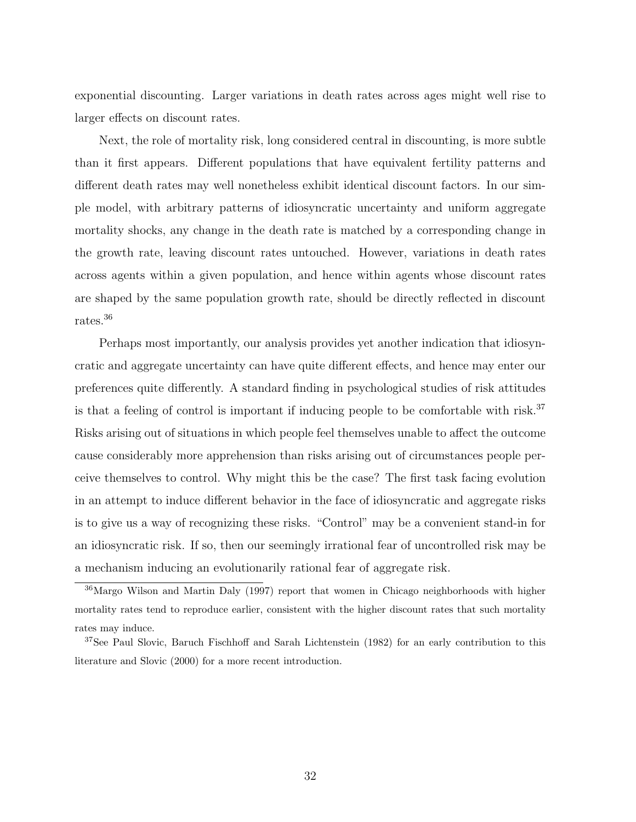exponential discounting. Larger variations in death rates across ages might well rise to larger effects on discount rates.

Next, the role of mortality risk, long considered central in discounting, is more subtle than it first appears. Different populations that have equivalent fertility patterns and different death rates may well nonetheless exhibit identical discount factors. In our simple model, with arbitrary patterns of idiosyncratic uncertainty and uniform aggregate mortality shocks, any change in the death rate is matched by a corresponding change in the growth rate, leaving discount rates untouched. However, variations in death rates across agents within a given population, and hence within agents whose discount rates are shaped by the same population growth rate, should be directly reflected in discount rates.<sup>36</sup>

Perhaps most importantly, our analysis provides yet another indication that idiosyncratic and aggregate uncertainty can have quite different effects, and hence may enter our preferences quite differently. A standard finding in psychological studies of risk attitudes is that a feeling of control is important if inducing people to be comfortable with risk.<sup>37</sup> Risks arising out of situations in which people feel themselves unable to affect the outcome cause considerably more apprehension than risks arising out of circumstances people perceive themselves to control. Why might this be the case? The first task facing evolution in an attempt to induce different behavior in the face of idiosyncratic and aggregate risks is to give us a way of recognizing these risks. "Control" may be a convenient stand-in for an idiosyncratic risk. If so, then our seemingly irrational fear of uncontrolled risk may be a mechanism inducing an evolutionarily rational fear of aggregate risk.

<sup>36</sup>Margo Wilson and Martin Daly (1997) report that women in Chicago neighborhoods with higher mortality rates tend to reproduce earlier, consistent with the higher discount rates that such mortality rates may induce.

<sup>&</sup>lt;sup>37</sup>See Paul Slovic, Baruch Fischhoff and Sarah Lichtenstein (1982) for an early contribution to this literature and Slovic (2000) for a more recent introduction.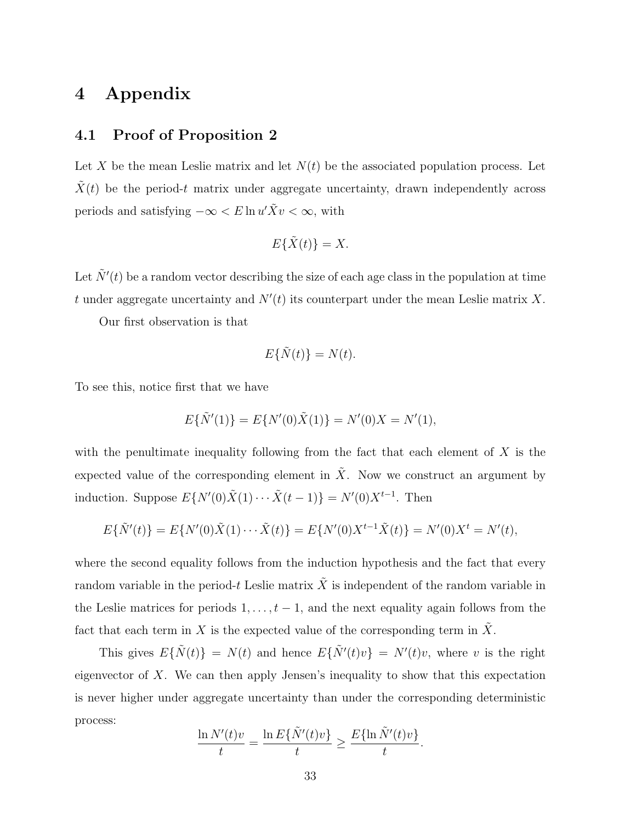### 4 Appendix

### 4.1 Proof of Proposition 2

Let X be the mean Leslie matrix and let  $N(t)$  be the associated population process. Let  $\ddot{X}(t)$  be the period-t matrix under aggregate uncertainty, drawn independently across periods and satisfying  $-\infty < E \ln u' \tilde{X} v < \infty$ , with

$$
E\{\tilde{X}(t)\} = X.
$$

Let  $\tilde{N}'(t)$  be a random vector describing the size of each age class in the population at time t under aggregate uncertainty and  $N'(t)$  its counterpart under the mean Leslie matrix X.

Our first observation is that

$$
E\{\tilde{N}(t)\} = N(t).
$$

To see this, notice first that we have

$$
E\{\tilde{N}'(1)\} = E\{N'(0)\tilde{X}(1)\} = N'(0)X = N'(1),
$$

with the penultimate inequality following from the fact that each element of  $X$  is the expected value of the corresponding element in  $\tilde{X}$ . Now we construct an argument by induction. Suppose  $E\{N'(0)\tilde{X}(1)\cdots\tilde{X}(t-1)\}=N'(0)X^{t-1}$ . Then

$$
E\{\tilde{N}'(t)\} = E\{N'(0)\tilde{X}(1)\cdots\tilde{X}(t)\} = E\{N'(0)X^{t-1}\tilde{X}(t)\} = N'(0)X^t = N'(t),
$$

where the second equality follows from the induction hypothesis and the fact that every random variable in the period-t Leslie matrix  $\tilde{X}$  is independent of the random variable in the Leslie matrices for periods  $1, \ldots, t-1$ , and the next equality again follows from the fact that each term in X is the expected value of the corresponding term in  $\tilde{X}$ .

This gives  $E\{\tilde{N}(t)\}=N(t)$  and hence  $E\{\tilde{N}'(t)v\}=N'(t)v$ , where v is the right eigenvector of  $X$ . We can then apply Jensen's inequality to show that this expectation is never higher under aggregate uncertainty than under the corresponding deterministic process:

$$
\frac{\ln N'(t)v}{t} = \frac{\ln E\{\tilde{N}'(t)v\}}{t} \ge \frac{E\{\ln \tilde{N}'(t)v\}}{t}.
$$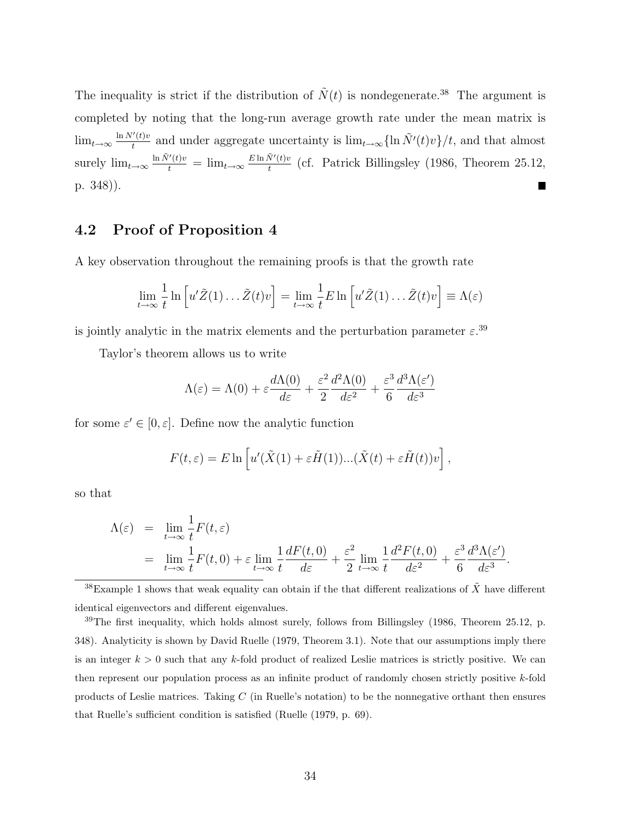The inequality is strict if the distribution of  $\tilde{N}(t)$  is nondegenerate.<sup>38</sup> The argument is completed by noting that the long-run average growth rate under the mean matrix is  $\lim_{t\to\infty} \frac{\ln N'(t)v}{t}$  $t(t)v$  and under aggregate uncertainty is  $\lim_{t\to\infty} {\ln \tilde{N'}(t)v}$ , and that almost surely  $\lim_{t\to\infty} \frac{\ln \tilde{N}'(t)v}{t} = \lim_{t\to\infty} \frac{E \ln \tilde{N}'(t)v}{t}$  $t_t^{\text{v}(t)v}$  (cf. Patrick Billingsley (1986, Theorem 25.12, p. 348)).

### 4.2 Proof of Proposition 4

A key observation throughout the remaining proofs is that the growth rate

$$
\lim_{t \to \infty} \frac{1}{t} \ln \left[ u' \tilde{Z}(1) \dots \tilde{Z}(t) v \right] = \lim_{t \to \infty} \frac{1}{t} E \ln \left[ u' \tilde{Z}(1) \dots \tilde{Z}(t) v \right] \equiv \Lambda(\varepsilon)
$$

is jointly analytic in the matrix elements and the perturbation parameter  $\varepsilon$ <sup>39</sup>

Taylor's theorem allows us to write

$$
\Lambda(\varepsilon) = \Lambda(0) + \varepsilon \frac{d\Lambda(0)}{d\varepsilon} + \frac{\varepsilon^2}{2} \frac{d^2\Lambda(0)}{d\varepsilon^2} + \frac{\varepsilon^3}{6} \frac{d^3\Lambda(\varepsilon')}{d\varepsilon^3}
$$

for some  $\varepsilon' \in [0, \varepsilon]$ . Define now the analytic function

$$
F(t,\varepsilon) = E \ln \left[ u'(\tilde{X}(1) + \varepsilon \tilde{H}(1)) \dots (\tilde{X}(t) + \varepsilon \tilde{H}(t)) v \right],
$$

so that

$$
\Lambda(\varepsilon) = \lim_{t \to \infty} \frac{1}{t} F(t, \varepsilon)
$$
  
= 
$$
\lim_{t \to \infty} \frac{1}{t} F(t, 0) + \varepsilon \lim_{t \to \infty} \frac{1}{t} \frac{dF(t, 0)}{d\varepsilon} + \frac{\varepsilon^2}{2} \lim_{t \to \infty} \frac{1}{t} \frac{d^2 F(t, 0)}{d\varepsilon^2} + \frac{\varepsilon^3}{6} \frac{d^3 \Lambda(\varepsilon')}{d\varepsilon^3}.
$$

<sup>38</sup>Example 1 shows that weak equality can obtain if the that different realizations of  $\tilde{X}$  have different identical eigenvectors and different eigenvalues.

 $39$ The first inequality, which holds almost surely, follows from Billingsley (1986, Theorem 25.12, p. 348). Analyticity is shown by David Ruelle (1979, Theorem 3.1). Note that our assumptions imply there is an integer  $k > 0$  such that any k-fold product of realized Leslie matrices is strictly positive. We can then represent our population process as an infinite product of randomly chosen strictly positive k-fold products of Leslie matrices. Taking C (in Ruelle's notation) to be the nonnegative orthant then ensures that Ruelle's sufficient condition is satisfied (Ruelle (1979, p. 69).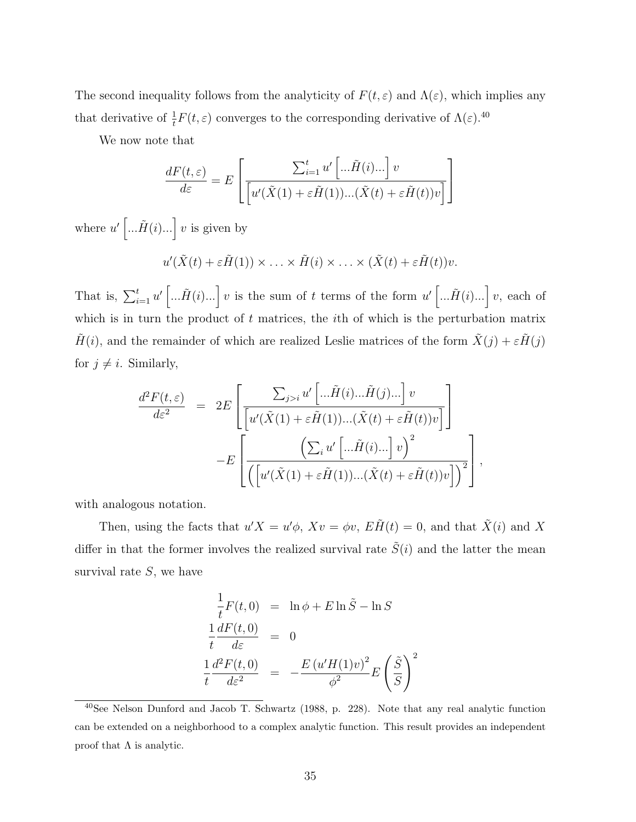The second inequality follows from the analyticity of  $F(t, \varepsilon)$  and  $\Lambda(\varepsilon)$ , which implies any that derivative of  $\frac{1}{t}F(t,\varepsilon)$  converges to the corresponding derivative of  $\Lambda(\varepsilon)$ .<sup>40</sup>

We now note that

$$
\frac{dF(t,\varepsilon)}{d\varepsilon} = E\left[\frac{\sum_{i=1}^t u'\left[...\tilde{H}(i)...\right]v}{\left[u'(\tilde{X}(1) + \varepsilon\tilde{H}(1))...\left(\tilde{X}(t) + \varepsilon\tilde{H}(t)\right)v\right]}\right]
$$

where  $u'$   $\left[\ldots \tilde{H}(i) \ldots \right]$  v is given by

$$
u'(\tilde{X}(t) + \varepsilon \tilde{H}(1)) \times \ldots \times \tilde{H}(i) \times \ldots \times (\tilde{X}(t) + \varepsilon \tilde{H}(t))v.
$$

That is,  $\sum_{i=1}^t u'$  [...  $\tilde{H}(i)$ ...] v is the sum of t terms of the form  $u'$  [...  $\tilde{H}(i)$ ...] v, each of which is in turn the product of  $t$  matrices, the  $ith$  of which is the perturbation matrix  $H(i)$ , and the remainder of which are realized Leslie matrices of the form  $\tilde{X}(j) + \varepsilon \tilde{H}(j)$ for  $j \neq i$ . Similarly,

$$
\frac{d^2F(t,\varepsilon)}{d\varepsilon^2} = 2E\left[\frac{\sum_{j>i} u'\left[...\tilde{H}(i)...\tilde{H}(j)...\right]v}{\left[u'(\tilde{X}(1) + \varepsilon\tilde{H}(1))...\tilde{X}(t) + \varepsilon\tilde{H}(t))v\right]}\right] - E\left[\frac{\left(\sum_{i} u'\left[...\tilde{H}(i)...\right]v\right)^2}{\left(\left[u'(\tilde{X}(1) + \varepsilon\tilde{H}(1))...\tilde{X}(t) + \varepsilon\tilde{H}(t))v\right]\right)^2}\right],
$$

with analogous notation.

Then, using the facts that  $u'X = u'\phi$ ,  $Xv = \phi v$ ,  $E\tilde{H}(t) = 0$ , and that  $\tilde{X}(i)$  and X differ in that the former involves the realized survival rate  $\tilde{S}(i)$  and the latter the mean survival rate  $S$ , we have

$$
\frac{1}{t}F(t,0) = \ln \phi + E \ln \tilde{S} - \ln S
$$
\n
$$
\frac{1}{t}\frac{dF(t,0)}{d\varepsilon} = 0
$$
\n
$$
\frac{1}{t}\frac{d^2F(t,0)}{d\varepsilon^2} = -\frac{E (u'H(1)v)^2}{\phi^2}E\left(\frac{\tilde{S}}{S}\right)^2
$$

<sup>&</sup>lt;sup>40</sup>See Nelson Dunford and Jacob T. Schwartz (1988, p. 228). Note that any real analytic function can be extended on a neighborhood to a complex analytic function. This result provides an independent proof that  $\Lambda$  is analytic.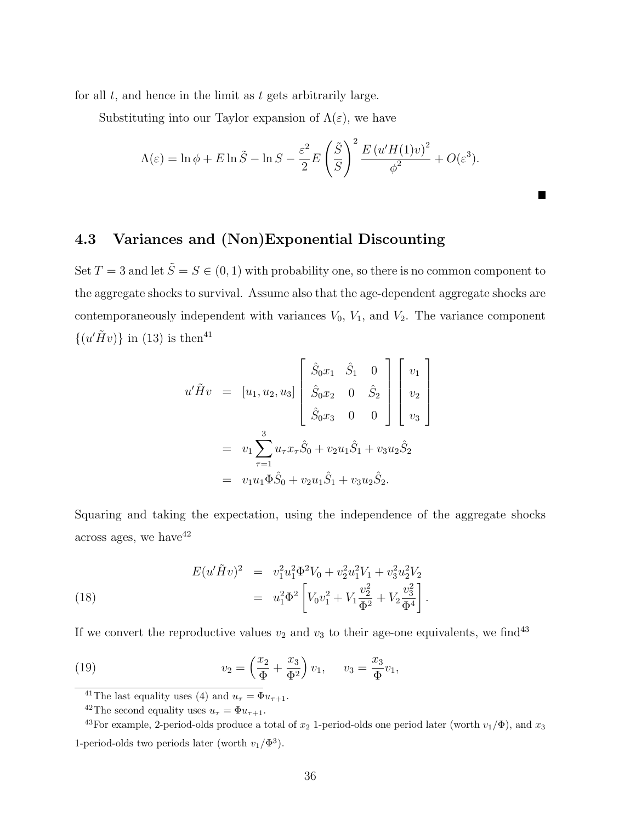for all  $t$ , and hence in the limit as  $t$  gets arbitrarily large.

Substituting into our Taylor expansion of  $\Lambda(\varepsilon)$ , we have

$$
\Lambda(\varepsilon) = \ln \phi + E \ln \tilde{S} - \ln S - \frac{\varepsilon^2}{2} E \left( \frac{\tilde{S}}{S} \right)^2 \frac{E (u'H(1)v)^2}{\phi^2} + O(\varepsilon^3).
$$

L.

### 4.3 Variances and (Non)Exponential Discounting

Set  $T = 3$  and let  $\tilde{S} = S \in (0, 1)$  with probability one, so there is no common component to the aggregate shocks to survival. Assume also that the age-dependent aggregate shocks are contemporaneously independent with variances  $V_0$ ,  $V_1$ , and  $V_2$ . The variance component  $\{(u'\tilde{H}v)\}\$ in (13) is then<sup>41</sup>

$$
u'\tilde{H}v = [u_1, u_2, u_3] \begin{bmatrix} \hat{S}_0x_1 & \hat{S}_1 & 0 \\ \hat{S}_0x_2 & 0 & \hat{S}_2 \\ \hat{S}_0x_3 & 0 & 0 \end{bmatrix} \begin{bmatrix} v_1 \\ v_2 \\ v_3 \end{bmatrix}
$$
  
=  $v_1 \sum_{\tau=1}^3 u_\tau x_\tau \hat{S}_0 + v_2 u_1 \hat{S}_1 + v_3 u_2 \hat{S}_2$   
=  $v_1 u_1 \Phi \hat{S}_0 + v_2 u_1 \hat{S}_1 + v_3 u_2 \hat{S}_2$ .

Squaring and taking the expectation, using the independence of the aggregate shocks across ages, we have  $42$ 

(18) 
$$
E(u'\tilde{H}v)^2 = v_1^2 u_1^2 \Phi^2 V_0 + v_2^2 u_1^2 V_1 + v_3^2 u_2^2 V_2
$$

$$
= u_1^2 \Phi^2 \left[ V_0 v_1^2 + V_1 \frac{v_2^2}{\Phi^2} + V_2 \frac{v_3^2}{\Phi^4} \right].
$$

If we convert the reproductive values  $v_2$  and  $v_3$  to their age-one equivalents, we find<sup>43</sup>

(19) 
$$
v_2 = \left(\frac{x_2}{\Phi} + \frac{x_3}{\Phi^2}\right)v_1, \quad v_3 = \frac{x_3}{\Phi}v_1,
$$

<sup>42</sup>The second equality uses  $u_{\tau} = \Phi u_{\tau+1}$ .

<sup>43</sup>For example, 2-period-olds produce a total of  $x_2$  1-period-olds one period later (worth  $v_1/\Phi$ ), and  $x_3$ 1-period-olds two periods later (worth  $v_1/\Phi^3$ ).

<sup>&</sup>lt;sup>41</sup>The last equality uses (4) and  $u_{\tau} = \Phi u_{\tau+1}$ .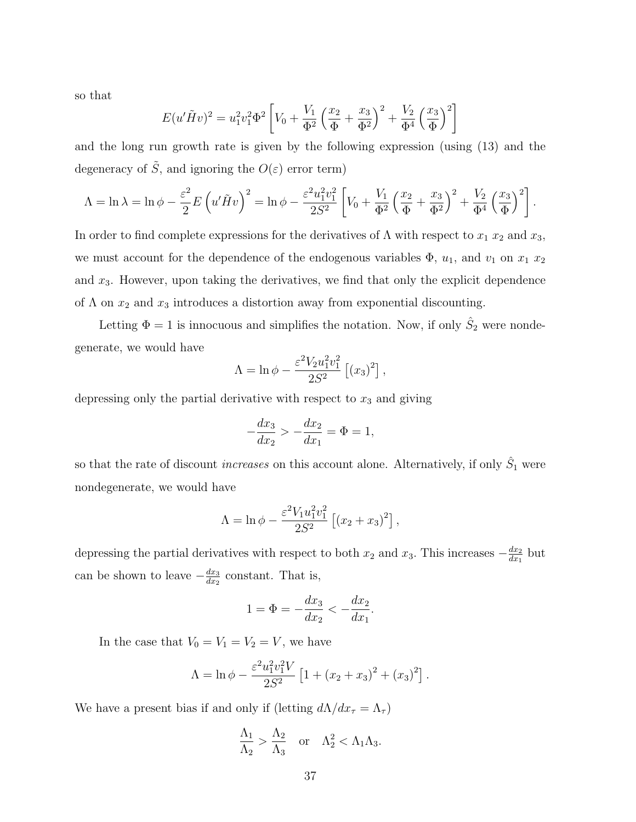so that

$$
E(u'\tilde{H}v)^{2} = u_{1}^{2}v_{1}^{2}\Phi^{2}\left[V_{0} + \frac{V_{1}}{\Phi^{2}}\left(\frac{x_{2}}{\Phi} + \frac{x_{3}}{\Phi^{2}}\right)^{2} + \frac{V_{2}}{\Phi^{4}}\left(\frac{x_{3}}{\Phi}\right)^{2}\right]
$$

and the long run growth rate is given by the following expression (using (13) and the degeneracy of  $\tilde{S}$ , and ignoring the  $O(\varepsilon)$  error term)

$$
\Lambda = \ln \lambda = \ln \phi - \frac{\varepsilon^2}{2} E \left( u' \tilde{H} v \right)^2 = \ln \phi - \frac{\varepsilon^2 u_1^2 v_1^2}{2S^2} \left[ V_0 + \frac{V_1}{\Phi^2} \left( \frac{x_2}{\Phi} + \frac{x_3}{\Phi^2} \right)^2 + \frac{V_2}{\Phi^4} \left( \frac{x_3}{\Phi} \right)^2 \right].
$$

In order to find complete expressions for the derivatives of  $\Lambda$  with respect to  $x_1$   $x_2$  and  $x_3$ , we must account for the dependence of the endogenous variables  $\Phi$ ,  $u_1$ , and  $v_1$  on  $x_1$   $x_2$ and  $x_3$ . However, upon taking the derivatives, we find that only the explicit dependence of  $\Lambda$  on  $x_2$  and  $x_3$  introduces a distortion away from exponential discounting.

Letting  $\Phi = 1$  is innocuous and simplifies the notation. Now, if only  $\hat{S}_2$  were nondegenerate, we would have

$$
\Lambda = \ln \phi - \frac{\varepsilon^2 V_2 u_1^2 v_1^2}{2S^2} \left[ (x_3)^2 \right],
$$

depressing only the partial derivative with respect to  $x_3$  and giving

$$
-\frac{dx_3}{dx_2} > -\frac{dx_2}{dx_1} = \Phi = 1,
$$

so that the rate of discount *increases* on this account alone. Alternatively, if only  $\hat{S}_1$  were nondegenerate, we would have

$$
\Lambda = \ln \phi - \frac{\varepsilon^2 V_1 u_1^2 v_1^2}{2S^2} \left[ (x_2 + x_3)^2 \right],
$$

depressing the partial derivatives with respect to both  $x_2$  and  $x_3$ . This increases  $-\frac{dx_2}{dx_1}$  $\frac{dx_2}{dx_1}$  but can be shown to leave  $-\frac{dx_3}{dx_3}$  $\frac{dx_3}{dx_2}$  constant. That is,

$$
1 = \Phi = -\frac{dx_3}{dx_2} < -\frac{dx_2}{dx_1}.
$$

In the case that  $V_0 = V_1 = V_2 = V$ , we have

$$
\Lambda = \ln \phi - \frac{\varepsilon^2 u_1^2 v_1^2 V}{2S^2} \left[ 1 + (x_2 + x_3)^2 + (x_3)^2 \right].
$$

We have a present bias if and only if (letting  $d\Lambda/dx_{\tau} = \Lambda_{\tau}$ )

$$
\frac{\Lambda_1}{\Lambda_2} > \frac{\Lambda_2}{\Lambda_3} \quad \text{or} \quad \Lambda_2^2 < \Lambda_1 \Lambda_3.
$$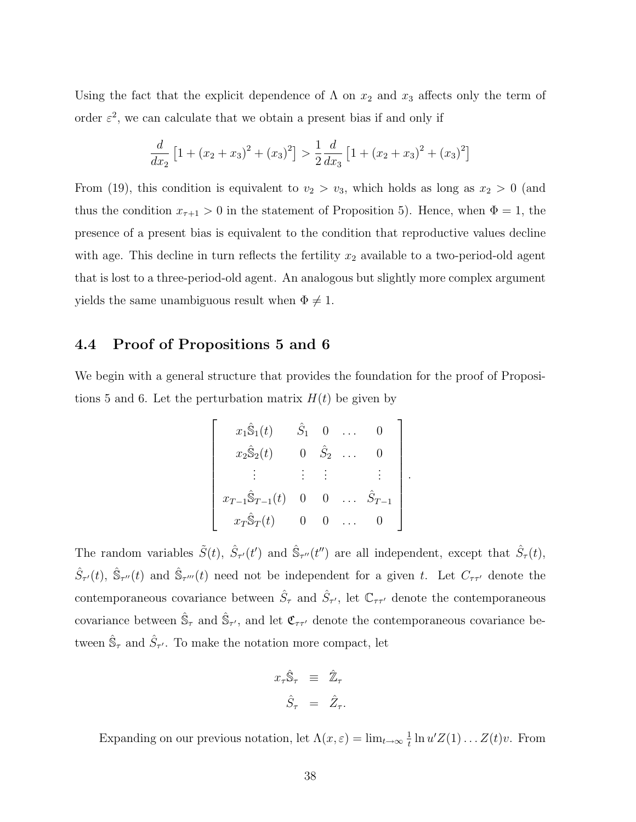Using the fact that the explicit dependence of  $\Lambda$  on  $x_2$  and  $x_3$  affects only the term of order  $\varepsilon^2$ , we can calculate that we obtain a present bias if and only if

$$
\frac{d}{dx_2} [1 + (x_2 + x_3)^2 + (x_3)^2] > \frac{1}{2} \frac{d}{dx_3} [1 + (x_2 + x_3)^2 + (x_3)^2]
$$

From (19), this condition is equivalent to  $v_2 > v_3$ , which holds as long as  $x_2 > 0$  (and thus the condition  $x_{\tau+1} > 0$  in the statement of Proposition 5). Hence, when  $\Phi = 1$ , the presence of a present bias is equivalent to the condition that reproductive values decline with age. This decline in turn reflects the fertility  $x_2$  available to a two-period-old agent that is lost to a three-period-old agent. An analogous but slightly more complex argument yields the same unambiguous result when  $\Phi \neq 1$ .

### 4.4 Proof of Propositions 5 and 6

We begin with a general structure that provides the foundation for the proof of Propositions 5 and 6. Let the perturbation matrix  $H(t)$  be given by

$$
\begin{bmatrix}\nx_1\hat{S}_1(t) & \hat{S}_1 & 0 & \dots & 0 \\
x_2\hat{S}_2(t) & 0 & \hat{S}_2 & \dots & 0 \\
\vdots & \vdots & \vdots & \vdots \\
x_{T-1}\hat{S}_{T-1}(t) & 0 & 0 & \dots & \hat{S}_{T-1} \\
x_T\hat{S}_T(t) & 0 & 0 & \dots & 0\n\end{bmatrix}
$$

.

The random variables  $\tilde{S}(t)$ ,  $\hat{S}_{\tau'}(t')$  and  $\hat{S}_{\tau''}(t'')$  are all independent, except that  $\hat{S}_{\tau}(t)$ ,  $\hat{S}_{\tau}(t)$ ,  $\hat{S}_{\tau''}(t)$  and  $\hat{S}_{\tau'''}(t)$  need not be independent for a given t. Let  $C_{\tau\tau'}$  denote the contemporaneous covariance between  $\hat{S}_{\tau}$  and  $\hat{S}_{\tau'}$ , let  $\mathbb{C}_{\tau\tau'}$  denote the contemporaneous covariance between  $\hat{S}_{\tau}$  and  $\hat{S}_{\tau'}$ , and let  $\mathfrak{C}_{\tau\tau'}$  denote the contemporaneous covariance between  $\hat{S}_{\tau}$  and  $\hat{S}_{\tau'}$ . To make the notation more compact, let

$$
x_{\tau} \hat{\mathbb{S}}_{\tau} \equiv \hat{\mathbb{Z}}_{\tau}
$$

$$
\hat{S}_{\tau} = \hat{Z}_{\tau}.
$$

Expanding on our previous notation, let  $\Lambda(x,\varepsilon) = \lim_{t\to\infty} \frac{1}{t}$  $\frac{1}{t} \ln u' Z(1) \dots Z(t) v$ . From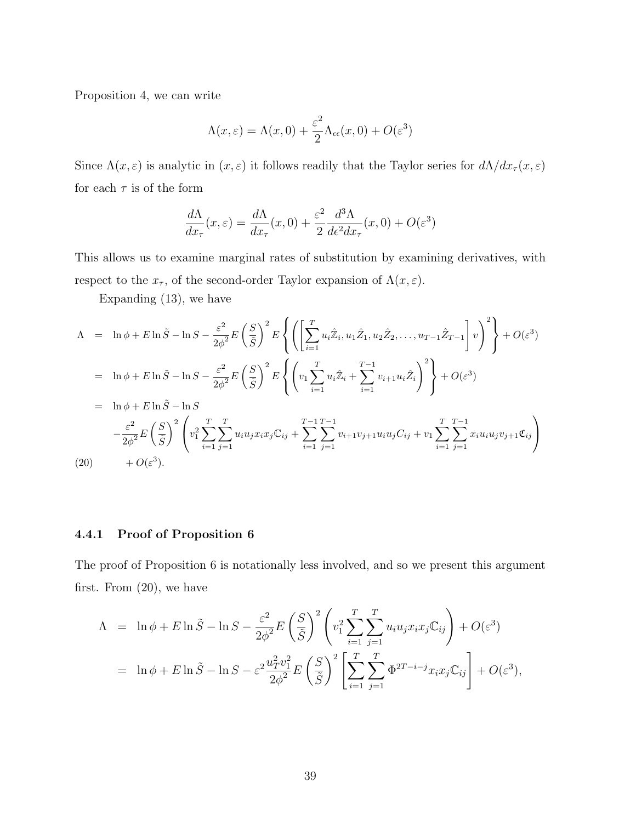Proposition 4, we can write

$$
\Lambda(x,\varepsilon) = \Lambda(x,0) + \frac{\varepsilon^2}{2}\Lambda_{\epsilon\epsilon}(x,0) + O(\varepsilon^3)
$$

Since  $\Lambda(x,\varepsilon)$  is analytic in  $(x,\varepsilon)$  it follows readily that the Taylor series for  $d\Lambda/dx_\tau(x,\varepsilon)$ for each  $\tau$  is of the form

$$
\frac{d\Lambda}{dx_{\tau}}(x,\varepsilon) = \frac{d\Lambda}{dx_{\tau}}(x,0) + \frac{\varepsilon^2}{2} \frac{d^3\Lambda}{d\varepsilon^2 dx_{\tau}}(x,0) + O(\varepsilon^3)
$$

This allows us to examine marginal rates of substitution by examining derivatives, with respect to the  $x_{\tau}$ , of the second-order Taylor expansion of  $\Lambda(x,\varepsilon)$ .

Expanding (13), we have

$$
\Lambda = \ln \phi + E \ln \tilde{S} - \ln S - \frac{\varepsilon^2}{2\phi^2} E \left( \frac{S}{\tilde{S}} \right)^2 E \left\{ \left( \left[ \sum_{i=1}^T u_i \tilde{\mathbb{Z}}_i, u_1 \hat{Z}_1, u_2 \hat{Z}_2, \dots, u_{T-1} \hat{Z}_{T-1} \right] v \right)^2 \right\} + O(\varepsilon^3)
$$
  
\n
$$
= \ln \phi + E \ln \tilde{S} - \ln S - \frac{\varepsilon^2}{2\phi^2} E \left( \frac{S}{\tilde{S}} \right)^2 E \left\{ \left( v_1 \sum_{i=1}^T u_i \tilde{\mathbb{Z}}_i + \sum_{i=1}^{T-1} v_{i+1} u_i \hat{Z}_i \right)^2 \right\} + O(\varepsilon^3)
$$
  
\n
$$
= \ln \phi + E \ln \tilde{S} - \ln S
$$
  
\n
$$
- \frac{\varepsilon^2}{2\phi^2} E \left( \frac{S}{\tilde{S}} \right)^2 \left( v_1^2 \sum_{i=1}^T \sum_{j=1}^T u_i u_j x_i x_j C_{ij} + \sum_{i=1}^{T-1} \sum_{j=1}^{T-1} v_{i+1} v_{j+1} u_i u_j C_{ij} + v_1 \sum_{i=1}^T \sum_{j=1}^{T-1} x_i u_i u_j v_{j+1} \mathfrak{C}_{ij} \right)
$$
  
\n(20)  $+ O(\varepsilon^3).$ 

#### 4.4.1 Proof of Proposition 6

The proof of Proposition 6 is notationally less involved, and so we present this argument first. From (20), we have

$$
\Lambda = \ln \phi + E \ln \tilde{S} - \ln S - \frac{\varepsilon^2}{2\phi^2} E \left( \frac{S}{\tilde{S}} \right)^2 \left( v_1^2 \sum_{i=1}^T \sum_{j=1}^T u_i u_j x_i x_j \mathbb{C}_{ij} \right) + O(\varepsilon^3)
$$
  
=  $\ln \phi + E \ln \tilde{S} - \ln S - \varepsilon^2 \frac{u_T^2 v_1^2}{2\phi^2} E \left( \frac{S}{\tilde{S}} \right)^2 \left[ \sum_{i=1}^T \sum_{j=1}^T \Phi^{2T-i-j} x_i x_j \mathbb{C}_{ij} \right] + O(\varepsilon^3),$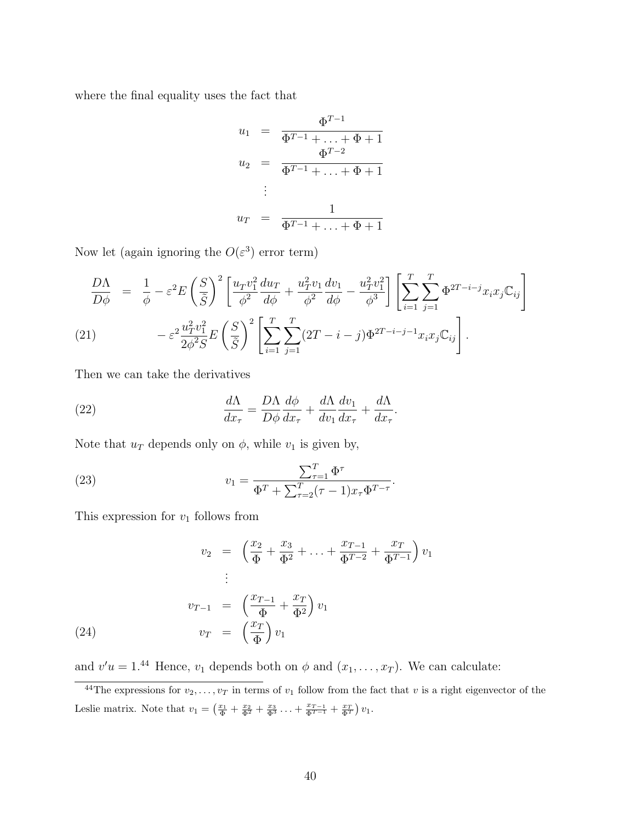where the final equality uses the fact that

$$
u_1 = \frac{\Phi^{T-1}}{\Phi^{T-1} + \dots + \Phi + 1}
$$
  
\n
$$
u_2 = \frac{\Phi^{T-2}}{\Phi^{T-1} + \dots + \Phi + 1}
$$
  
\n
$$
\vdots
$$
  
\n
$$
u_T = \frac{1}{\Phi^{T-1} + \dots + \Phi + 1}
$$

Now let (again ignoring the  $O(\varepsilon^3)$  error term)

$$
\frac{D\Lambda}{D\phi} = \frac{1}{\phi} - \varepsilon^2 E \left(\frac{S}{\tilde{S}}\right)^2 \left[\frac{u_T v_1^2}{\phi^2} \frac{du_T}{d\phi} + \frac{u_T^2 v_1}{\phi^2} \frac{dv_1}{d\phi} - \frac{u_T^2 v_1^2}{\phi^3}\right] \left[\sum_{i=1}^T \sum_{j=1}^T \Phi^{2T-i-j} x_i x_j C_{ij}\right] - \varepsilon^2 \frac{u_T^2 v_1^2}{2\phi^2 S} E \left(\frac{S}{\tilde{S}}\right)^2 \left[\sum_{i=1}^T \sum_{j=1}^T (2T-i-j) \Phi^{2T-i-j-1} x_i x_j C_{ij}\right].
$$

.

Then we can take the derivatives

(22) 
$$
\frac{d\Lambda}{dx_{\tau}} = \frac{D\Lambda}{D\phi} \frac{d\phi}{dx_{\tau}} + \frac{d\Lambda}{dv_1} \frac{dv_1}{dx_{\tau}} + \frac{d\Lambda}{dx_{\tau}}
$$

Note that  $u_T$  depends only on  $\phi$ , while  $v_1$  is given by,

(23) 
$$
v_1 = \frac{\sum_{\tau=1}^T \Phi^{\tau}}{\Phi^T + \sum_{\tau=2}^T (\tau - 1) x_{\tau} \Phi^{T - \tau}}.
$$

This expression for  $v_1$  follows from

(24)  
\n
$$
v_2 = \left(\frac{x_2}{\Phi} + \frac{x_3}{\Phi^2} + \ldots + \frac{x_{T-1}}{\Phi^{T-2}} + \frac{x_T}{\Phi^{T-1}}\right) v_1
$$
\n
$$
\vdots
$$
\n
$$
v_{T-1} = \left(\frac{x_{T-1}}{\Phi} + \frac{x_T}{\Phi^2}\right) v_1
$$
\n
$$
v_T = \left(\frac{x_T}{\Phi}\right) v_1
$$

and  $v'u = 1<sup>44</sup>$  Hence,  $v_1$  depends both on  $\phi$  and  $(x_1, \ldots, x_T)$ . We can calculate:

<sup>44</sup>The expressions for  $v_2, \ldots, v_T$  in terms of  $v_1$  follow from the fact that v is a right eigenvector of the Leslie matrix. Note that  $v_1 = \left(\frac{x_1}{\Phi} + \frac{x_2}{\Phi^2} + \frac{x_3}{\Phi^3} + \cdots + \frac{x_{T-1}}{\Phi^{T-1}} + \frac{x_T}{\Phi^T}\right)v_1$ .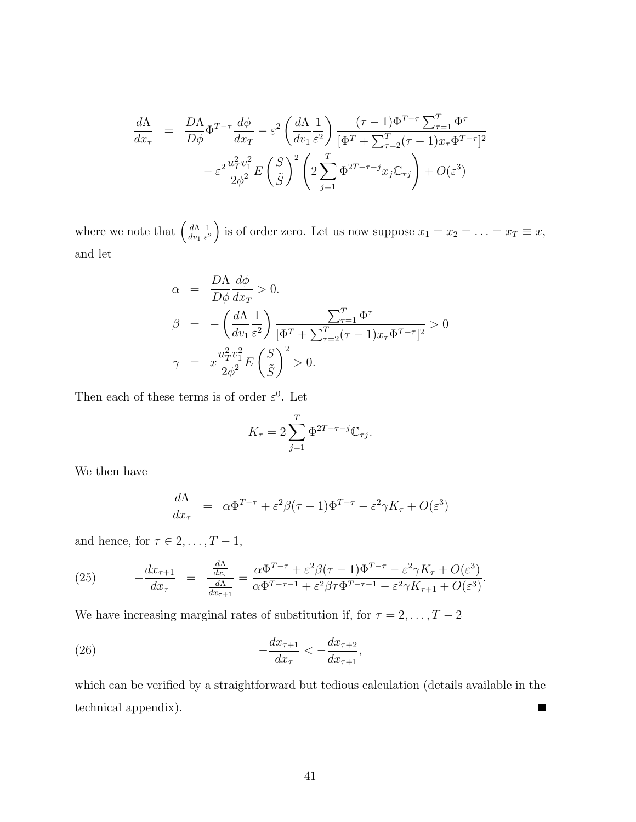$$
\frac{d\Lambda}{dx_{\tau}} = \frac{D\Lambda}{D\phi} \Phi^{T-\tau} \frac{d\phi}{dx_T} - \varepsilon^2 \left(\frac{d\Lambda}{dv_1} \frac{1}{\varepsilon^2}\right) \frac{(\tau - 1)\Phi^{T-\tau} \sum_{\tau=1}^T \Phi^{\tau}}{[\Phi^T + \sum_{\tau=2}^T (\tau - 1)x_{\tau} \Phi^{T-\tau}]^2}
$$

$$
-\varepsilon^2 \frac{u_T^2 v_1^2}{2\phi^2} E\left(\frac{S}{\tilde{S}}\right)^2 \left(2 \sum_{j=1}^T \Phi^{2T-\tau-j} x_j \mathbb{C}_{\tau j}\right) + O(\varepsilon^3)
$$

where we note that  $\left(\frac{d\Lambda}{dm}\right)$  $dv_1$ 1  $\frac{1}{\varepsilon^2}$  is of order zero. Let us now suppose  $x_1 = x_2 = \ldots = x_T \equiv x$ , and let

$$
\alpha = \frac{D\Lambda}{D\phi} \frac{d\phi}{dx_T} > 0.
$$
  
\n
$$
\beta = -\left(\frac{d\Lambda}{dv_1} \frac{1}{\epsilon^2}\right) \frac{\Sigma_{\tau=1}^T \Phi^{\tau}}{[\Phi^T + \Sigma_{\tau=2}^T (\tau - 1) x_{\tau} \Phi^{T-\tau}]^2} > 0
$$
  
\n
$$
\gamma = x \frac{u_T^2 v_1^2}{2\phi^2} E\left(\frac{S}{\tilde{S}}\right)^2 > 0.
$$

Then each of these terms is of order  $\varepsilon^0$ . Let

$$
K_{\tau} = 2 \sum_{j=1}^{T} \Phi^{2T-\tau-j} \mathbb{C}_{\tau j}.
$$

We then have

$$
\frac{d\Lambda}{dx_{\tau}} = \alpha \Phi^{T-\tau} + \varepsilon^2 \beta (\tau - 1) \Phi^{T-\tau} - \varepsilon^2 \gamma K_{\tau} + O(\varepsilon^3)
$$

and hence, for  $\tau \in 2, \ldots, T-1$ ,

(25) 
$$
-\frac{dx_{\tau+1}}{dx_{\tau}} = \frac{\frac{d\Lambda}{dx_{\tau}}}{\frac{d\Lambda}{dx_{\tau+1}}} = \frac{\alpha \Phi^{T-\tau} + \varepsilon^2 \beta (\tau-1) \Phi^{T-\tau} - \varepsilon^2 \gamma K_{\tau} + O(\varepsilon^3)}{\alpha \Phi^{T-\tau-1} + \varepsilon^2 \beta \tau \Phi^{T-\tau-1} - \varepsilon^2 \gamma K_{\tau+1} + O(\varepsilon^3)}.
$$

We have increasing marginal rates of substitution if, for  $\tau = 2, \ldots, T - 2$ 

(26) 
$$
-\frac{dx_{\tau+1}}{dx_{\tau}} < -\frac{dx_{\tau+2}}{dx_{\tau+1}},
$$

which can be verified by a straightforward but tedious calculation (details available in the technical appendix).  $\blacksquare$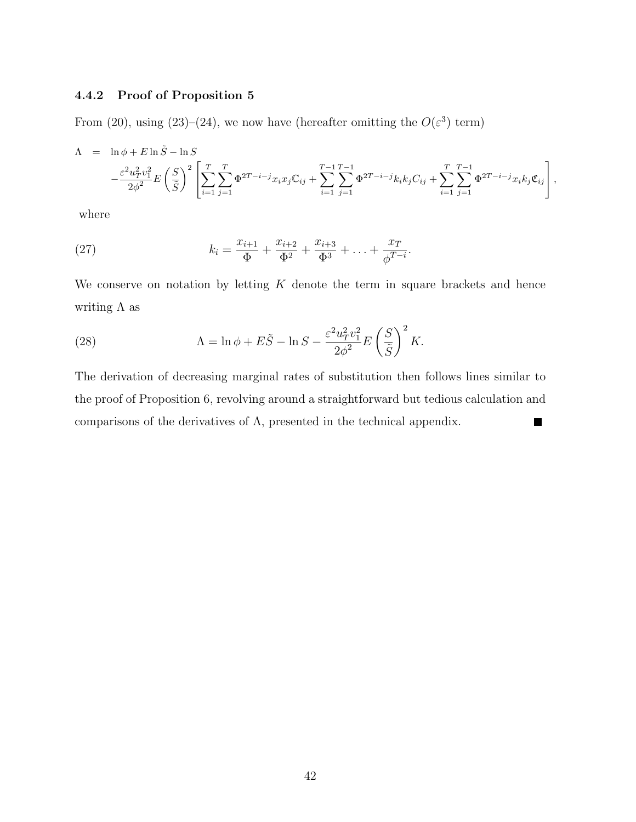#### 4.4.2 Proof of Proposition 5

From (20), using (23)–(24), we now have (hereafter omitting the  $O(\varepsilon^3)$  term)

$$
\Lambda = \ln \phi + E \ln \tilde{S} - \ln S \n- \frac{\varepsilon^2 u_T^2 v_1^2}{2\phi^2} E \left( \frac{S}{\tilde{S}} \right)^2 \left[ \sum_{i=1}^T \sum_{j=1}^T \Phi^{2T-i-j} x_i x_j C_{ij} + \sum_{i=1}^{T-1} \sum_{j=1}^{T-1} \Phi^{2T-i-j} k_i k_j C_{ij} + \sum_{i=1}^T \sum_{j=1}^{T-1} \Phi^{2T-i-j} x_i k_j \mathfrak{C}_{ij} \right],
$$

where

(27) 
$$
k_i = \frac{x_{i+1}}{\Phi} + \frac{x_{i+2}}{\Phi^2} + \frac{x_{i+3}}{\Phi^3} + \ldots + \frac{x_T}{\phi^{T-i}}.
$$

We conserve on notation by letting  $K$  denote the term in square brackets and hence writing  $\Lambda$  as

(28) 
$$
\Lambda = \ln \phi + E\tilde{S} - \ln S - \frac{\varepsilon^2 u_T^2 v_1^2}{2\phi^2} E\left(\frac{S}{\tilde{S}}\right)^2 K.
$$

The derivation of decreasing marginal rates of substitution then follows lines similar to the proof of Proposition 6, revolving around a straightforward but tedious calculation and comparisons of the derivatives of  $\Lambda$ , presented in the technical appendix. ٦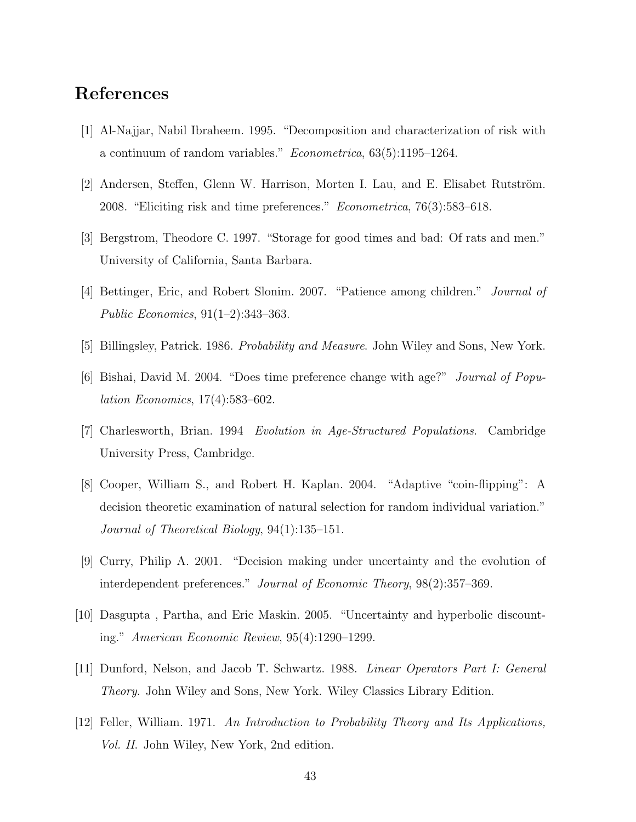### References

- [1] Al-Najjar, Nabil Ibraheem. 1995. "Decomposition and characterization of risk with a continuum of random variables." Econometrica, 63(5):1195–1264.
- [2] Andersen, Steffen, Glenn W. Harrison, Morten I. Lau, and E. Elisabet Rutström. 2008. "Eliciting risk and time preferences." Econometrica, 76(3):583–618.
- [3] Bergstrom, Theodore C. 1997. "Storage for good times and bad: Of rats and men." University of California, Santa Barbara.
- [4] Bettinger, Eric, and Robert Slonim. 2007. "Patience among children." Journal of Public Economics, 91(1–2):343–363.
- [5] Billingsley, Patrick. 1986. Probability and Measure. John Wiley and Sons, New York.
- [6] Bishai, David M. 2004. "Does time preference change with age?" Journal of Population Economics, 17(4):583–602.
- [7] Charlesworth, Brian. 1994 Evolution in Age-Structured Populations. Cambridge University Press, Cambridge.
- [8] Cooper, William S., and Robert H. Kaplan. 2004. "Adaptive "coin-flipping": A decision theoretic examination of natural selection for random individual variation." Journal of Theoretical Biology, 94(1):135–151.
- [9] Curry, Philip A. 2001. "Decision making under uncertainty and the evolution of interdependent preferences." Journal of Economic Theory, 98(2):357–369.
- [10] Dasgupta , Partha, and Eric Maskin. 2005. "Uncertainty and hyperbolic discounting." American Economic Review, 95(4):1290–1299.
- [11] Dunford, Nelson, and Jacob T. Schwartz. 1988. Linear Operators Part I: General Theory. John Wiley and Sons, New York. Wiley Classics Library Edition.
- [12] Feller, William. 1971. An Introduction to Probability Theory and Its Applications, Vol. II. John Wiley, New York, 2nd edition.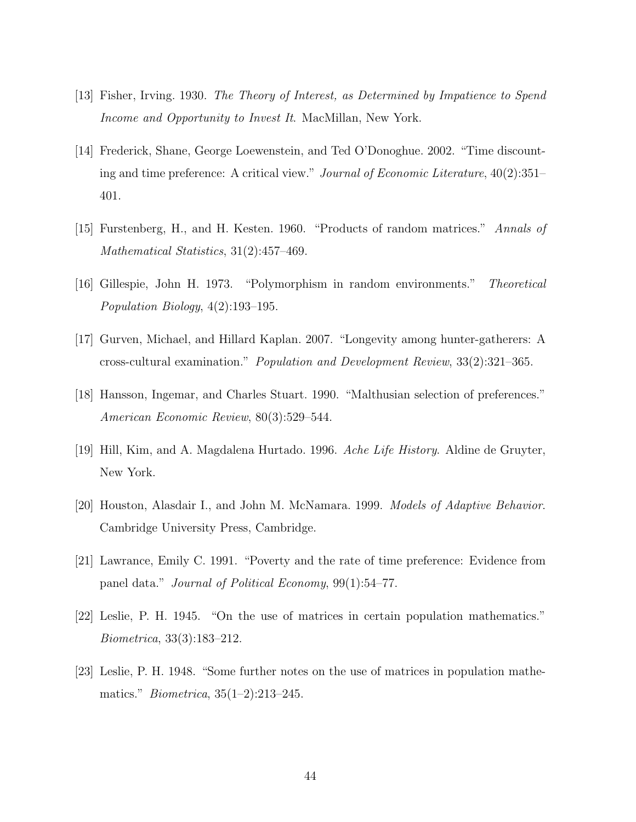- [13] Fisher, Irving. 1930. The Theory of Interest, as Determined by Impatience to Spend Income and Opportunity to Invest It. MacMillan, New York.
- [14] Frederick, Shane, George Loewenstein, and Ted O'Donoghue. 2002. "Time discounting and time preference: A critical view." Journal of Economic Literature, 40(2):351– 401.
- [15] Furstenberg, H., and H. Kesten. 1960. "Products of random matrices." Annals of Mathematical Statistics, 31(2):457–469.
- [16] Gillespie, John H. 1973. "Polymorphism in random environments." Theoretical Population Biology, 4(2):193–195.
- [17] Gurven, Michael, and Hillard Kaplan. 2007. "Longevity among hunter-gatherers: A cross-cultural examination." Population and Development Review, 33(2):321–365.
- [18] Hansson, Ingemar, and Charles Stuart. 1990. "Malthusian selection of preferences." American Economic Review, 80(3):529–544.
- [19] Hill, Kim, and A. Magdalena Hurtado. 1996. Ache Life History. Aldine de Gruyter, New York.
- [20] Houston, Alasdair I., and John M. McNamara. 1999. Models of Adaptive Behavior. Cambridge University Press, Cambridge.
- [21] Lawrance, Emily C. 1991. "Poverty and the rate of time preference: Evidence from panel data." Journal of Political Economy, 99(1):54–77.
- [22] Leslie, P. H. 1945. "On the use of matrices in certain population mathematics." Biometrica, 33(3):183–212.
- [23] Leslie, P. H. 1948. "Some further notes on the use of matrices in population mathematics." Biometrica, 35(1–2):213–245.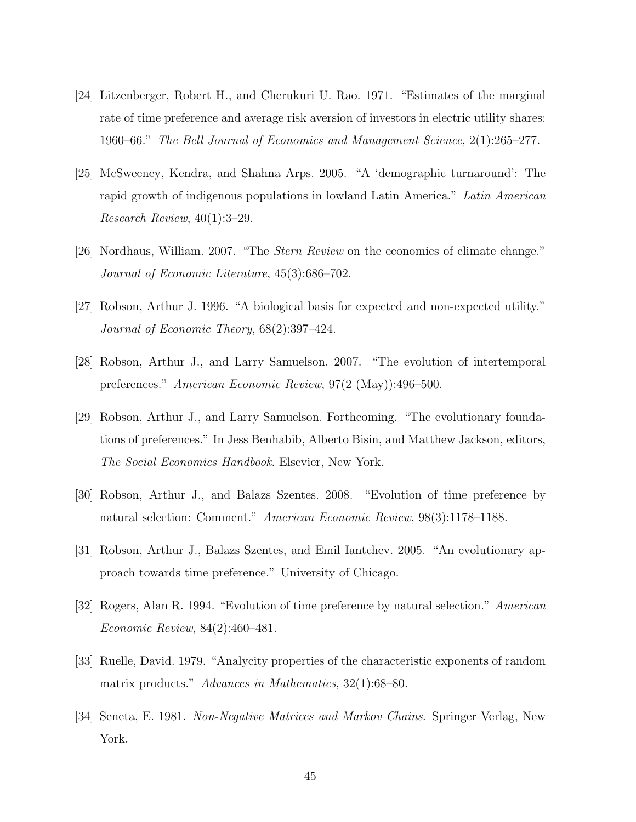- [24] Litzenberger, Robert H., and Cherukuri U. Rao. 1971. "Estimates of the marginal rate of time preference and average risk aversion of investors in electric utility shares: 1960–66." The Bell Journal of Economics and Management Science, 2(1):265–277.
- [25] McSweeney, Kendra, and Shahna Arps. 2005. "A 'demographic turnaround': The rapid growth of indigenous populations in lowland Latin America." Latin American Research Review, 40(1):3–29.
- [26] Nordhaus, William. 2007. "The Stern Review on the economics of climate change." Journal of Economic Literature, 45(3):686–702.
- [27] Robson, Arthur J. 1996. "A biological basis for expected and non-expected utility." Journal of Economic Theory, 68(2):397–424.
- [28] Robson, Arthur J., and Larry Samuelson. 2007. "The evolution of intertemporal preferences." American Economic Review, 97(2 (May)):496–500.
- [29] Robson, Arthur J., and Larry Samuelson. Forthcoming. "The evolutionary foundations of preferences." In Jess Benhabib, Alberto Bisin, and Matthew Jackson, editors, The Social Economics Handbook. Elsevier, New York.
- [30] Robson, Arthur J., and Balazs Szentes. 2008. "Evolution of time preference by natural selection: Comment." American Economic Review, 98(3):1178–1188.
- [31] Robson, Arthur J., Balazs Szentes, and Emil Iantchev. 2005. "An evolutionary approach towards time preference." University of Chicago.
- [32] Rogers, Alan R. 1994. "Evolution of time preference by natural selection." American Economic Review, 84(2):460–481.
- [33] Ruelle, David. 1979. "Analycity properties of the characteristic exponents of random matrix products." Advances in Mathematics, 32(1):68–80.
- [34] Seneta, E. 1981. Non-Negative Matrices and Markov Chains. Springer Verlag, New York.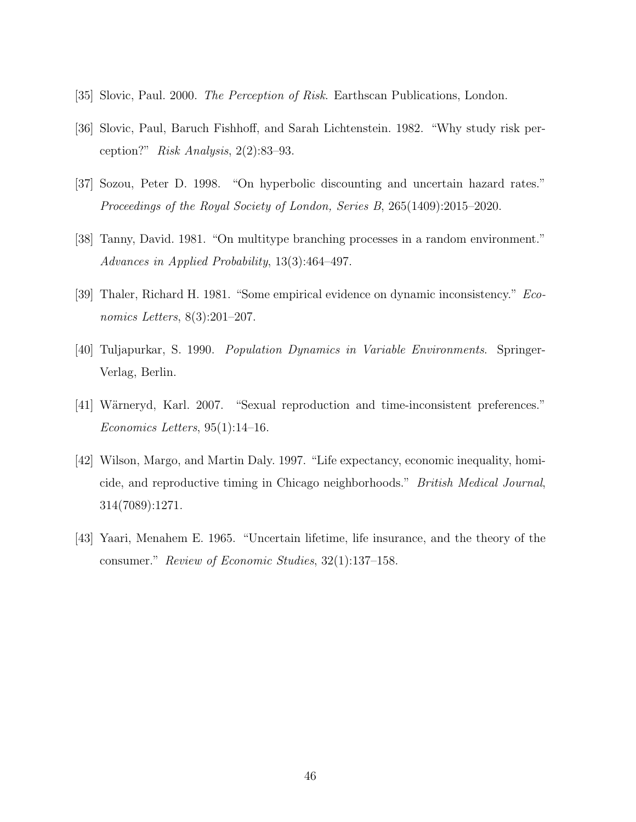- [35] Slovic, Paul. 2000. The Perception of Risk. Earthscan Publications, London.
- [36] Slovic, Paul, Baruch Fishhoff, and Sarah Lichtenstein. 1982. "Why study risk perception?" Risk Analysis, 2(2):83–93.
- [37] Sozou, Peter D. 1998. "On hyperbolic discounting and uncertain hazard rates." Proceedings of the Royal Society of London, Series B, 265(1409):2015–2020.
- [38] Tanny, David. 1981. "On multitype branching processes in a random environment." Advances in Applied Probability, 13(3):464–497.
- [39] Thaler, Richard H. 1981. "Some empirical evidence on dynamic inconsistency." Economics Letters, 8(3):201–207.
- [40] Tuljapurkar, S. 1990. Population Dynamics in Variable Environments. Springer-Verlag, Berlin.
- [41] Wärneryd, Karl. 2007. "Sexual reproduction and time-inconsistent preferences." Economics Letters, 95(1):14–16.
- [42] Wilson, Margo, and Martin Daly. 1997. "Life expectancy, economic inequality, homicide, and reproductive timing in Chicago neighborhoods." British Medical Journal, 314(7089):1271.
- [43] Yaari, Menahem E. 1965. "Uncertain lifetime, life insurance, and the theory of the consumer." Review of Economic Studies, 32(1):137–158.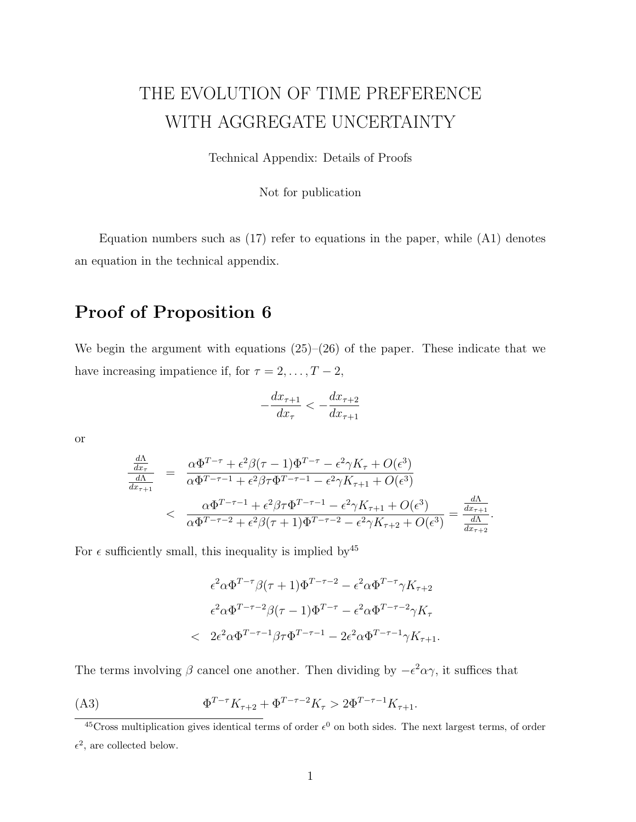# THE EVOLUTION OF TIME PREFERENCE WITH AGGREGATE UNCERTAINTY

Technical Appendix: Details of Proofs

Not for publication

Equation numbers such as  $(17)$  refer to equations in the paper, while  $(A1)$  denotes an equation in the technical appendix.

## Proof of Proposition 6

We begin the argument with equations  $(25)$ – $(26)$  of the paper. These indicate that we have increasing impatience if, for  $\tau = 2, \ldots, T - 2$ ,

$$
-\frac{dx_{\tau+1}}{dx_{\tau}} < -\frac{dx_{\tau+2}}{dx_{\tau+1}}
$$

or

$$
\frac{\frac{d\Lambda}{dx_{\tau}}}{\frac{d\Lambda}{dx_{\tau+1}}} = \frac{\alpha \Phi^{T-\tau} + \epsilon^2 \beta (\tau - 1) \Phi^{T-\tau} - \epsilon^2 \gamma K_{\tau} + O(\epsilon^3)}{\alpha \Phi^{T-\tau-1} + \epsilon^2 \beta \tau \Phi^{T-\tau-1} - \epsilon^2 \gamma K_{\tau+1} + O(\epsilon^3)}
$$
\n
$$
< \frac{\alpha \Phi^{T-\tau-1} + \epsilon^2 \beta \tau \Phi^{T-\tau-1} - \epsilon^2 \gamma K_{\tau+1} + O(\epsilon^3)}{\alpha \Phi^{T-\tau-2} + \epsilon^2 \beta (\tau+1) \Phi^{T-\tau-2} - \epsilon^2 \gamma K_{\tau+2} + O(\epsilon^3)} = \frac{\frac{d\Lambda}{dx_{\tau+1}}}{\frac{d\Lambda}{dx_{\tau+2}}}.
$$

For  $\epsilon$  sufficiently small, this inequality is implied by  $^{45}$ 

$$
\epsilon^2 \alpha \Phi^{T-\tau} \beta(\tau+1) \Phi^{T-\tau-2} - \epsilon^2 \alpha \Phi^{T-\tau} \gamma K_{\tau+2}
$$

$$
\epsilon^2 \alpha \Phi^{T-\tau-2} \beta(\tau-1) \Phi^{T-\tau} - \epsilon^2 \alpha \Phi^{T-\tau-2} \gamma K_{\tau}
$$

$$
< 2\epsilon^2 \alpha \Phi^{T-\tau-1} \beta \tau \Phi^{T-\tau-1} - 2\epsilon^2 \alpha \Phi^{T-\tau-1} \gamma K_{\tau+1}.
$$

The terms involving  $\beta$  cancel one another. Then dividing by  $-\epsilon^2 \alpha \gamma$ , it suffices that

(A3) 
$$
\Phi^{T-\tau} K_{\tau+2} + \Phi^{T-\tau-2} K_{\tau} > 2\Phi^{T-\tau-1} K_{\tau+1}.
$$

<sup>&</sup>lt;sup>45</sup>Cross multiplication gives identical terms of order  $\epsilon^0$  on both sides. The next largest terms, of order  $\epsilon^2$ , are collected below.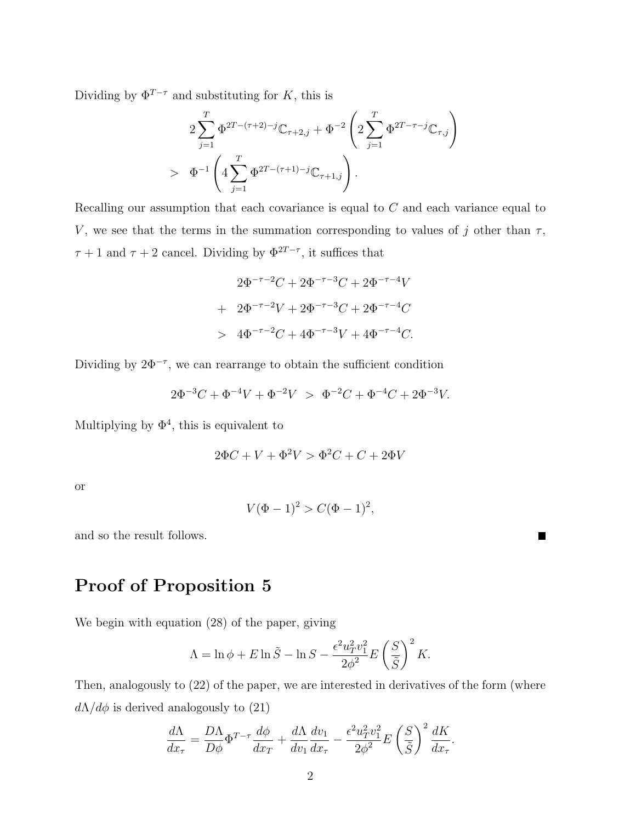Dividing by  $\Phi^{T-\tau}$  and substituting for K, this is

$$
2\sum_{j=1}^{T} \Phi^{2T-(\tau+2)-j} \mathbb{C}_{\tau+2,j} + \Phi^{-2} \left( 2\sum_{j=1}^{T} \Phi^{2T-\tau-j} \mathbb{C}_{\tau,j} \right)
$$
  
> 
$$
\Phi^{-1} \left( 4\sum_{j=1}^{T} \Phi^{2T-(\tau+1)-j} \mathbb{C}_{\tau+1,j} \right).
$$

Recalling our assumption that each covariance is equal to C and each variance equal to V, we see that the terms in the summation corresponding to values of j other than  $\tau$ ,  $\tau + 1$  and  $\tau + 2$  cancel. Dividing by  $\Phi^{2T-\tau}$ , it suffices that

$$
2\Phi^{-\tau-2}C + 2\Phi^{-\tau-3}C + 2\Phi^{-\tau-4}V
$$
  
+ 
$$
2\Phi^{-\tau-2}V + 2\Phi^{-\tau-3}C + 2\Phi^{-\tau-4}C
$$
  
> 
$$
4\Phi^{-\tau-2}C + 4\Phi^{-\tau-3}V + 4\Phi^{-\tau-4}C.
$$

Dividing by  $2\Phi^{-\tau}$ , we can rearrange to obtain the sufficient condition

$$
2\Phi^{-3}C + \Phi^{-4}V + \Phi^{-2}V > \Phi^{-2}C + \Phi^{-4}C + 2\Phi^{-3}V.
$$

Multiplying by  $\Phi^4$ , this is equivalent to

$$
2\Phi C + V + \Phi^2 V > \Phi^2 C + C + 2\Phi V
$$

or

$$
V(\Phi - 1)^2 > C(\Phi - 1)^2,
$$

■

and so the result follows.

## Proof of Proposition 5

We begin with equation (28) of the paper, giving

$$
\Lambda = \ln \phi + E \ln \tilde{S} - \ln S - \frac{\epsilon^2 u_T^2 v_1^2}{2\phi^2} E \left(\frac{S}{\tilde{S}}\right)^2 K.
$$

Then, analogously to (22) of the paper, we are interested in derivatives of the form (where  $d\Lambda/d\phi$  is derived analogously to (21)

$$
\frac{d\Lambda}{dx_{\tau}} = \frac{D\Lambda}{D\phi} \Phi^{T-\tau} \frac{d\phi}{dx_T} + \frac{d\Lambda}{dv_1} \frac{dv_1}{dx_{\tau}} - \frac{\epsilon^2 u_T^2 v_1^2}{2\phi^2} E\left(\frac{S}{\tilde{S}}\right)^2 \frac{dK}{dx_{\tau}}.
$$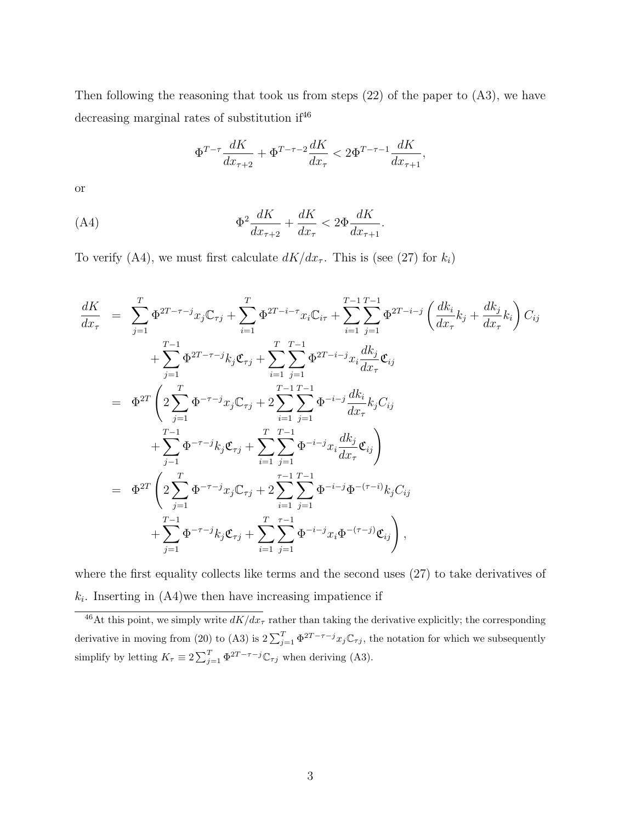Then following the reasoning that took us from steps (22) of the paper to (A3), we have decreasing marginal rates of substitution if<sup>46</sup>

$$
\Phi^{T-\tau} \frac{dK}{dx_{\tau+2}} + \Phi^{T-\tau-2} \frac{dK}{dx_{\tau}} < 2\Phi^{T-\tau-1} \frac{dK}{dx_{\tau+1}},
$$

or

(A4) 
$$
\Phi^2 \frac{dK}{dx_{\tau+2}} + \frac{dK}{dx_{\tau}} < 2\Phi \frac{dK}{dx_{\tau+1}}.
$$

To verify (A4), we must first calculate  $dK/dx_{\tau}$ . This is (see (27) for  $k_i$ )

$$
\frac{dK}{dx_{\tau}} = \sum_{j=1}^{T} \Phi^{2T-\tau-j} x_j \mathbb{C}_{\tau j} + \sum_{i=1}^{T} \Phi^{2T-i-\tau} x_i \mathbb{C}_{i\tau} + \sum_{i=1}^{T-1} \sum_{j=1}^{T-1} \Phi^{2T-i-j} \left( \frac{dk_i}{dx_{\tau}} k_j + \frac{dk_j}{dx_{\tau}} k_i \right) C_{ij} \n+ \sum_{j=1}^{T-1} \Phi^{2T-\tau-j} k_j \mathbb{C}_{\tau j} + \sum_{i=1}^{T} \sum_{j=1}^{T-1} \Phi^{2T-i-j} x_i \frac{dk_j}{dx_{\tau}} \mathbb{C}_{ij} \n= \Phi^{2T} \left( 2 \sum_{j=1}^{T} \Phi^{-\tau-j} x_j \mathbb{C}_{\tau j} + 2 \sum_{i=1}^{T-1} \sum_{j=1}^{T-1} \Phi^{-i-j} \frac{dk_i}{dx_{\tau}} k_j C_{ij} \n+ \sum_{j=1}^{T-1} \Phi^{-\tau-j} k_j \mathbb{C}_{\tau j} + \sum_{i=1}^{T} \sum_{j=1}^{T-1} \Phi^{-i-j} x_i \frac{dk_j}{dx_{\tau}} \mathbb{C}_{ij} \right) \n= \Phi^{2T} \left( 2 \sum_{j=1}^{T} \Phi^{-\tau-j} x_j C_{\tau j} + 2 \sum_{i=1}^{T-1} \sum_{j=1}^{T-1} \Phi^{-i-j} \Phi^{-(\tau-i)} k_j C_{ij} \n+ \sum_{j=1}^{T-1} \Phi^{-\tau-j} k_j \mathbb{C}_{\tau j} + \sum_{i=1}^{T} \sum_{j=1}^{T-1} \Phi^{-i-j} x_i \Phi^{-(\tau-j)} \mathbb{C}_{ij} \right),
$$

where the first equality collects like terms and the second uses (27) to take derivatives of  $k_i$ . Inserting in  $(A4)$  we then have increasing impatience if

<sup>46</sup>At this point, we simply write  $dK/dx_{\tau}$  rather than taking the derivative explicitly; the corresponding derivative in moving from (20) to (A3) is  $2\sum_{j=1}^{T}\Phi^{2T-\tau-j}x_j\mathbb{C}_{\tau j}$ , the notation for which we subsequently simplify by letting  $K_{\tau} \equiv 2 \sum_{j=1}^{T} \Phi^{2T-\tau-j} \mathbb{C}_{\tau j}$  when deriving (A3).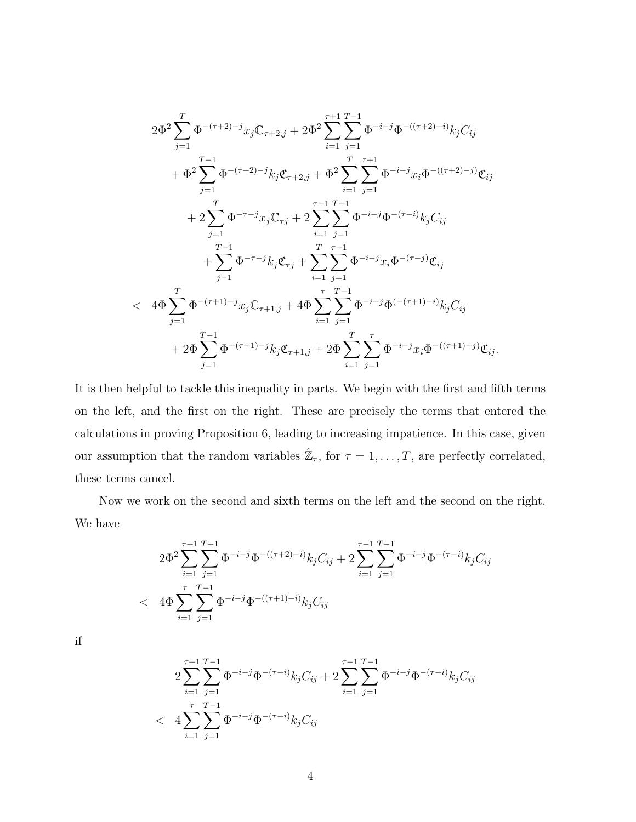$$
2\Phi^2 \sum_{j=1}^T \Phi^{-(\tau+2)-j} x_j \mathbb{C}_{\tau+2,j} + 2\Phi^2 \sum_{i=1}^{\tau+1} \sum_{j=1}^{T-1} \Phi^{-i-j} \Phi^{-((\tau+2)-i)} k_j C_{ij}
$$
  
+ 
$$
\Phi^2 \sum_{j=1}^{T-1} \Phi^{-(\tau+2)-j} k_j \mathbb{C}_{\tau+2,j} + \Phi^2 \sum_{i=1}^T \sum_{j=1}^{\tau+1} \Phi^{-i-j} x_i \Phi^{-(\tau+2)-j} \mathbb{C}_{ij}
$$
  
+ 
$$
2\sum_{j=1}^T \Phi^{-\tau-j} x_j \mathbb{C}_{\tau j} + 2\sum_{i=1}^{\tau-1} \sum_{j=1}^{T-1} \Phi^{-i-j} \Phi^{-(\tau-i)} k_j C_{ij}
$$
  
+ 
$$
\sum_{j=1}^{T-1} \Phi^{-\tau-j} k_j \mathbb{C}_{\tau j} + \sum_{i=1}^T \sum_{j=1}^{\tau-1} \Phi^{-i-j} x_i \Phi^{-(\tau-j)} \mathbb{C}_{ij}
$$
  
< 
$$
4\Phi \sum_{j=1}^T \Phi^{-(\tau+1)-j} x_j \mathbb{C}_{\tau+1,j} + 4\Phi \sum_{i=1}^{\tau} \sum_{j=1}^{T-1} \Phi^{-i-j} \Phi^{(-( \tau+1)-i)} k_j C_{ij}
$$
  
+ 
$$
2\Phi \sum_{j=1}^{T-1} \Phi^{-(\tau+1)-j} k_j \mathbb{C}_{\tau+1,j} + 2\Phi \sum_{i=1}^T \sum_{j=1}^{\tau} \Phi^{-i-j} x_i \Phi^{-(\tau+1)-j} \mathbb{C}_{ij}.
$$

It is then helpful to tackle this inequality in parts. We begin with the first and fifth terms on the left, and the first on the right. These are precisely the terms that entered the calculations in proving Proposition 6, leading to increasing impatience. In this case, given our assumption that the random variables  $\hat{\mathbb{Z}}_{\tau}$ , for  $\tau = 1, \ldots, T$ , are perfectly correlated, these terms cancel.

Now we work on the second and sixth terms on the left and the second on the right. We have

$$
\begin{array}{lll} & \ _{i=1}^{\tau+1}\sum\limits_{j=1}^{T-1}\Phi^{-i-j}\Phi^{-((\tau+2)-i)}k_{j}C_{ij}+2\sum\limits_{i=1}^{\tau-1}\sum\limits_{j=1}^{T-1}\Phi^{-i-j}\Phi^{-(\tau-i)}k_{j}C_{ij}\\ & < & 4\Phi\sum\limits_{i=1}^{\tau}\sum\limits_{j=1}^{T-1}\Phi^{-i-j}\Phi^{-((\tau+1)-i)}k_{j}C_{ij} \end{array}
$$

if

$$
2\sum_{i=1}^{\tau+1} \sum_{j=1}^{T-1} \Phi^{-i-j} \Phi^{-(\tau-i)} k_j C_{ij} + 2\sum_{i=1}^{\tau-1} \sum_{j=1}^{T-1} \Phi^{-i-j} \Phi^{-(\tau-i)} k_j C_{ij}
$$
  
< 4\sum\_{i=1}^{\tau} \sum\_{j=1}^{T-1} \Phi^{-i-j} \Phi^{-(\tau-i)} k\_j C\_{ij}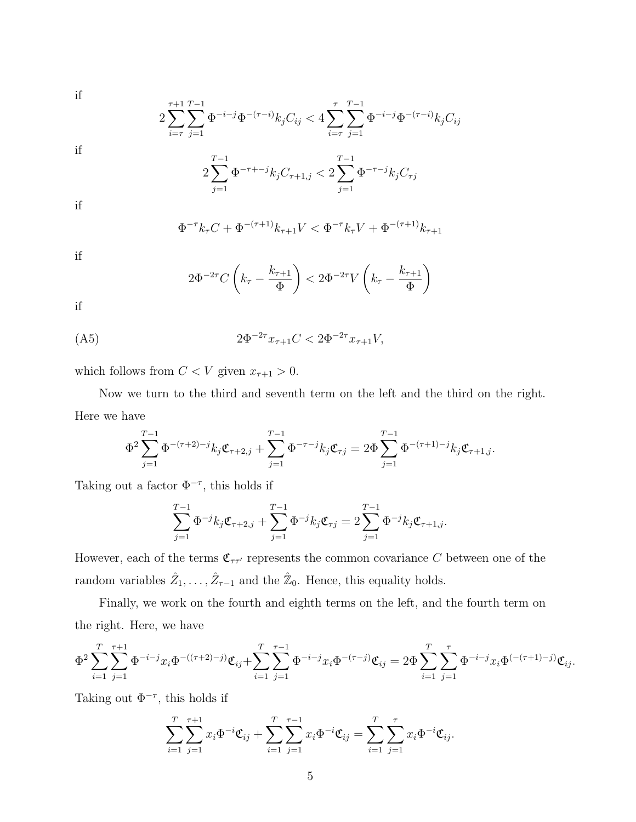if

$$
2\sum_{i=\tau}^{\tau+1}\sum_{j=1}^{T-1}\Phi^{-i-j}\Phi^{-(\tau-i)}k_jC_{ij} < 4\sum_{i=\tau}^{\tau}\sum_{j=1}^{T-1}\Phi^{-i-j}\Phi^{-(\tau-i)}k_jC_{ij}
$$

if

$$
2\sum_{j=1}^{T-1} \Phi^{-\tau - j} k_j C_{\tau+1,j} < 2\sum_{j=1}^{T-1} \Phi^{-\tau - j} k_j C_{\tau j}
$$

if

$$
\Phi^{-\tau} k_{\tau} C + \Phi^{-(\tau+1)} k_{\tau+1} V < \Phi^{-\tau} k_{\tau} V + \Phi^{-(\tau+1)} k_{\tau+1}
$$

if

$$
2\Phi^{-2\tau}C\left(k_{\tau}-\frac{k_{\tau+1}}{\Phi}\right)<2\Phi^{-2\tau}V\left(k_{\tau}-\frac{k_{\tau+1}}{\Phi}\right)
$$

if

(A5) 
$$
2\Phi^{-2\tau}x_{\tau+1}C < 2\Phi^{-2\tau}x_{\tau+1}V,
$$

which follows from  $C < V$  given  $x_{\tau+1} > 0$ .

Now we turn to the third and seventh term on the left and the third on the right. Here we have

$$
\Phi^2 \sum_{j=1}^{T-1} \Phi^{-(\tau+2)-j} k_j \mathfrak{C}_{\tau+2,j} + \sum_{j=1}^{T-1} \Phi^{-\tau-j} k_j \mathfrak{C}_{\tau j} = 2 \Phi \sum_{j=1}^{T-1} \Phi^{-(\tau+1)-j} k_j \mathfrak{C}_{\tau+1,j}.
$$

Taking out a factor  $\Phi^{-\tau}$ , this holds if

$$
\sum_{j=1}^{T-1} \Phi^{-j} k_j \mathfrak{C}_{\tau+2,j} + \sum_{j=1}^{T-1} \Phi^{-j} k_j \mathfrak{C}_{\tau j} = 2 \sum_{j=1}^{T-1} \Phi^{-j} k_j \mathfrak{C}_{\tau+1,j}.
$$

However, each of the terms  $\mathfrak{C}_{\tau\tau'}$  represents the common covariance C between one of the random variables  $\hat{Z}_1, \ldots, \hat{Z}_{\tau-1}$  and the  $\hat{\mathbb{Z}}_0$ . Hence, this equality holds.

Finally, we work on the fourth and eighth terms on the left, and the fourth term on the right. Here, we have

$$
\Phi^2 \sum_{i=1}^T \sum_{j=1}^{\tau+1} \Phi^{-i-j} x_i \Phi^{-((\tau+2)-j)} \mathfrak{C}_{ij} + \sum_{i=1}^T \sum_{j=1}^{\tau-1} \Phi^{-i-j} x_i \Phi^{-(\tau-j)} \mathfrak{C}_{ij} = 2 \Phi \sum_{i=1}^T \sum_{j=1}^{\tau} \Phi^{-i-j} x_i \Phi^{(-( \tau+1)-j)} \mathfrak{C}_{ij}.
$$

Taking out  $\Phi^{-\tau}$ , this holds if

$$
\sum_{i=1}^T \sum_{j=1}^{\tau+1} x_i \Phi^{-i} \mathfrak{C}_{ij} + \sum_{i=1}^T \sum_{j=1}^{\tau-1} x_i \Phi^{-i} \mathfrak{C}_{ij} = \sum_{i=1}^T \sum_{j=1}^{\tau} x_i \Phi^{-i} \mathfrak{C}_{ij}.
$$